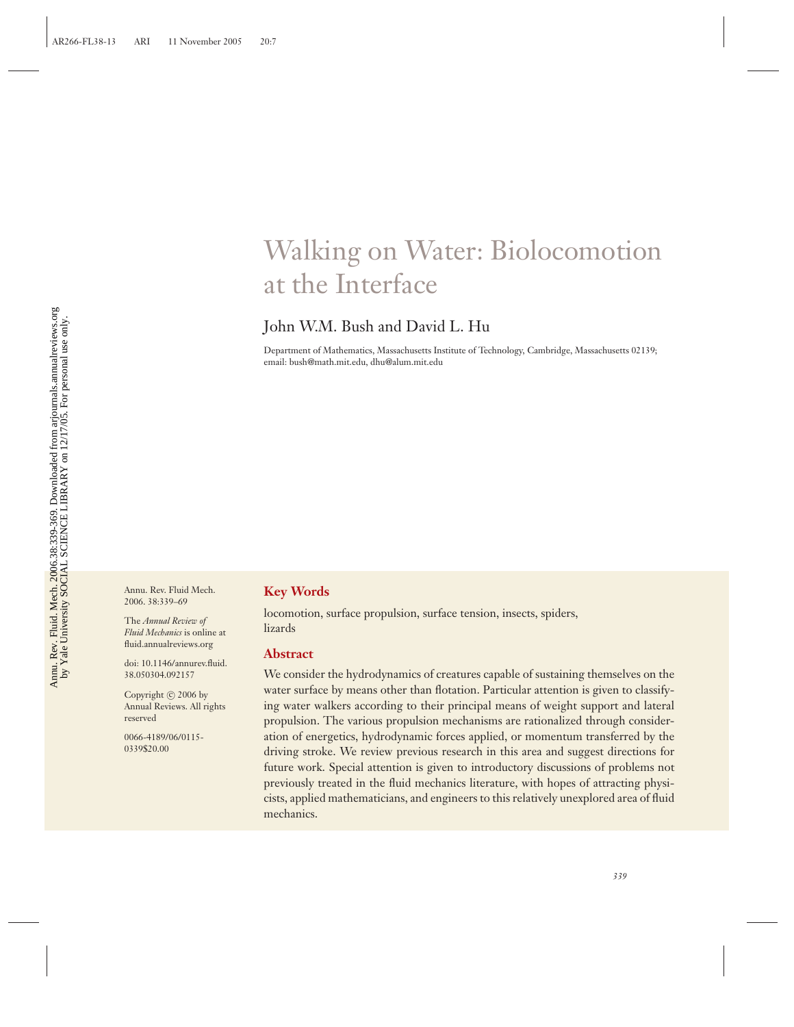# Walking on Water: Biolocomotion at the Interface

# John W.M. Bush and David L. Hu

Department of Mathematics, Massachusetts Institute of Technology, Cambridge, Massachusetts 02139; email: bush@math.mit.edu, dhu@alum.mit.edu

Annu. Rev. Fluid Mech. 2006. 38:339–69

The *Annual Review of Fluid Mechanics* is online at fluid.annualreviews.org

doi: 10.1146/annurev.fluid. 38.050304.092157

Copyright (c) 2006 by Annual Reviews. All rights reserved

0066-4189/06/0115- 0339\$20.00

# **Key Words**

locomotion, surface propulsion, surface tension, insects, spiders, lizards

# **Abstract**

We consider the hydrodynamics of creatures capable of sustaining themselves on the water surface by means other than flotation. Particular attention is given to classifying water walkers according to their principal means of weight support and lateral propulsion. The various propulsion mechanisms are rationalized through consideration of energetics, hydrodynamic forces applied, or momentum transferred by the driving stroke. We review previous research in this area and suggest directions for future work. Special attention is given to introductory discussions of problems not previously treated in the fluid mechanics literature, with hopes of attracting physicists, applied mathematicians, and engineers to this relatively unexplored area of fluid mechanics.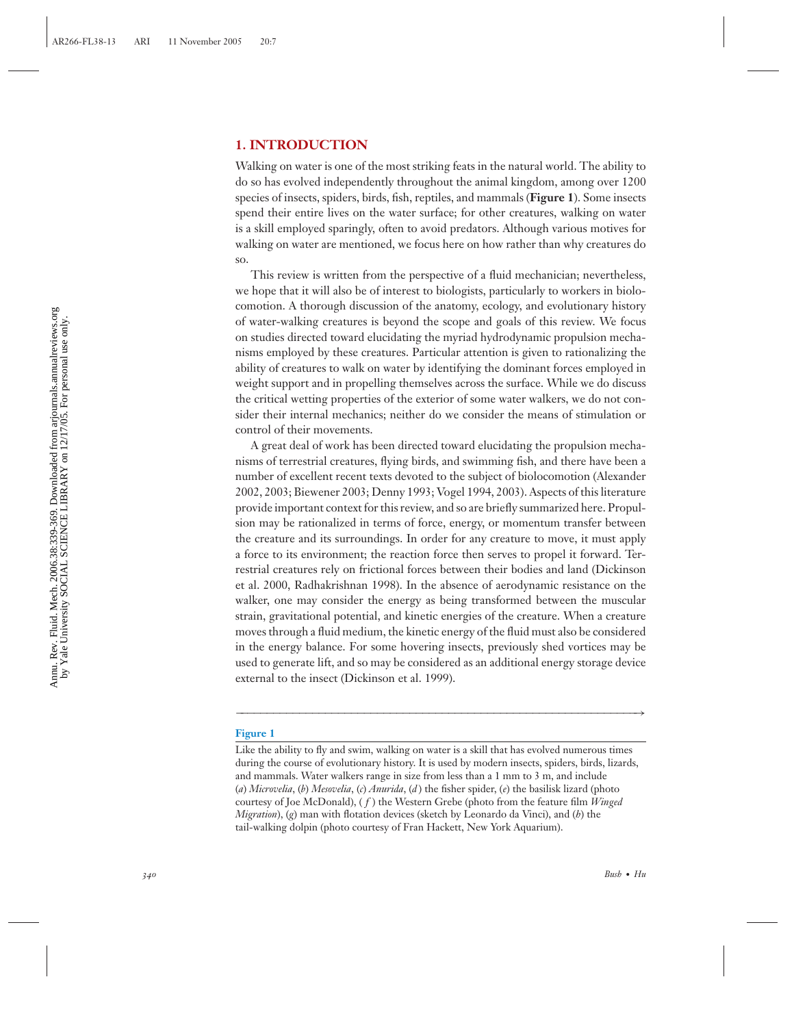# **1. INTRODUCTION**

Walking on water is one of the most striking feats in the natural world. The ability to do so has evolved independently throughout the animal kingdom, among over 1200 species of insects, spiders, birds, fish, reptiles, and mammals (**Figure 1**). Some insects spend their entire lives on the water surface; for other creatures, walking on water is a skill employed sparingly, often to avoid predators. Although various motives for walking on water are mentioned, we focus here on how rather than why creatures do so.

This review is written from the perspective of a fluid mechanician; nevertheless, we hope that it will also be of interest to biologists, particularly to workers in biolocomotion. A thorough discussion of the anatomy, ecology, and evolutionary history of water-walking creatures is beyond the scope and goals of this review. We focus on studies directed toward elucidating the myriad hydrodynamic propulsion mechanisms employed by these creatures. Particular attention is given to rationalizing the ability of creatures to walk on water by identifying the dominant forces employed in weight support and in propelling themselves across the surface. While we do discuss the critical wetting properties of the exterior of some water walkers, we do not consider their internal mechanics; neither do we consider the means of stimulation or control of their movements.

A great deal of work has been directed toward elucidating the propulsion mechanisms of terrestrial creatures, flying birds, and swimming fish, and there have been a number of excellent recent texts devoted to the subject of biolocomotion (Alexander 2002, 2003; Biewener 2003; Denny 1993; Vogel 1994, 2003). Aspects of this literature provide important context for this review, and so are briefly summarized here. Propulsion may be rationalized in terms of force, energy, or momentum transfer between the creature and its surroundings. In order for any creature to move, it must apply a force to its environment; the reaction force then serves to propel it forward. Terrestrial creatures rely on frictional forces between their bodies and land (Dickinson et al. 2000, Radhakrishnan 1998). In the absence of aerodynamic resistance on the walker, one may consider the energy as being transformed between the muscular strain, gravitational potential, and kinetic energies of the creature. When a creature moves through a fluid medium, the kinetic energy of the fluid must also be considered in the energy balance. For some hovering insects, previously shed vortices may be used to generate lift, and so may be considered as an additional energy storage device external to the insect (Dickinson et al. 1999).

#### **Figure 1**

Like the ability to fly and swim, walking on water is a skill that has evolved numerous times during the course of evolutionary history. It is used by modern insects, spiders, birds, lizards, and mammals. Water walkers range in size from less than a 1 mm to 3 m, and include (*a*) *Microvelia*, (*b*) *Mesovelia*, (*c*) *Anurida*, (*d* ) the fisher spider, (*e*) the basilisk lizard (photo courtesy of Joe McDonald), ( *f* ) the Western Grebe (photo from the feature film *Winged Migration*), (*g*) man with flotation devices (sketch by Leonardo da Vinci), and (*h*) the tail-walking dolpin (photo courtesy of Fran Hackett, New York Aquarium).

−−−−−−−−−−−−−−−−−−−−−−−−−−−−−−−−−−−−−−−−−−−−−−−−−−−−−−−−−−−−−−→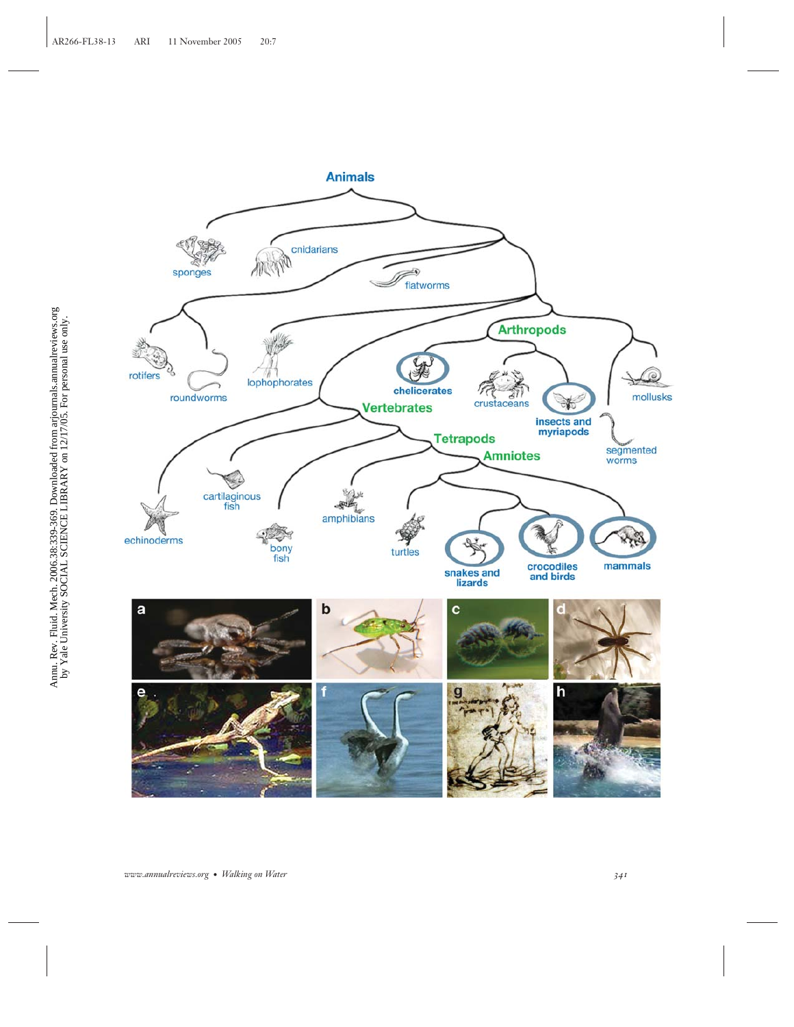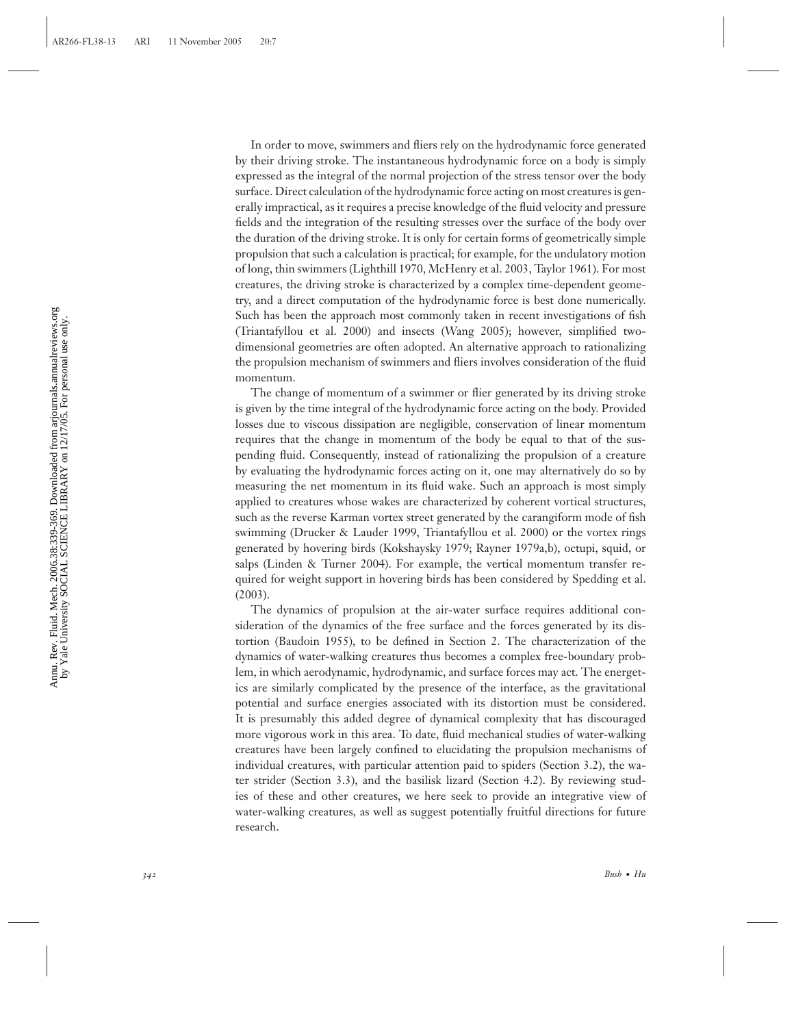In order to move, swimmers and fliers rely on the hydrodynamic force generated by their driving stroke. The instantaneous hydrodynamic force on a body is simply expressed as the integral of the normal projection of the stress tensor over the body surface. Direct calculation of the hydrodynamic force acting on most creatures is generally impractical, as it requires a precise knowledge of the fluid velocity and pressure fields and the integration of the resulting stresses over the surface of the body over the duration of the driving stroke. It is only for certain forms of geometrically simple propulsion that such a calculation is practical; for example, for the undulatory motion of long, thin swimmers (Lighthill 1970, McHenry et al. 2003, Taylor 1961). For most creatures, the driving stroke is characterized by a complex time-dependent geometry, and a direct computation of the hydrodynamic force is best done numerically. Such has been the approach most commonly taken in recent investigations of fish (Triantafyllou et al. 2000) and insects (Wang 2005); however, simplified twodimensional geometries are often adopted. An alternative approach to rationalizing the propulsion mechanism of swimmers and fliers involves consideration of the fluid momentum.

The change of momentum of a swimmer or flier generated by its driving stroke is given by the time integral of the hydrodynamic force acting on the body. Provided losses due to viscous dissipation are negligible, conservation of linear momentum requires that the change in momentum of the body be equal to that of the suspending fluid. Consequently, instead of rationalizing the propulsion of a creature by evaluating the hydrodynamic forces acting on it, one may alternatively do so by measuring the net momentum in its fluid wake. Such an approach is most simply applied to creatures whose wakes are characterized by coherent vortical structures, such as the reverse Karman vortex street generated by the carangiform mode of fish swimming (Drucker & Lauder 1999, Triantafyllou et al. 2000) or the vortex rings generated by hovering birds (Kokshaysky 1979; Rayner 1979a,b), octupi, squid, or salps (Linden & Turner 2004). For example, the vertical momentum transfer required for weight support in hovering birds has been considered by Spedding et al. (2003).

The dynamics of propulsion at the air-water surface requires additional consideration of the dynamics of the free surface and the forces generated by its distortion (Baudoin 1955), to be defined in Section 2. The characterization of the dynamics of water-walking creatures thus becomes a complex free-boundary problem, in which aerodynamic, hydrodynamic, and surface forces may act. The energetics are similarly complicated by the presence of the interface, as the gravitational potential and surface energies associated with its distortion must be considered. It is presumably this added degree of dynamical complexity that has discouraged more vigorous work in this area. To date, fluid mechanical studies of water-walking creatures have been largely confined to elucidating the propulsion mechanisms of individual creatures, with particular attention paid to spiders (Section 3.2), the water strider (Section 3.3), and the basilisk lizard (Section 4.2). By reviewing studies of these and other creatures, we here seek to provide an integrative view of water-walking creatures, as well as suggest potentially fruitful directions for future research.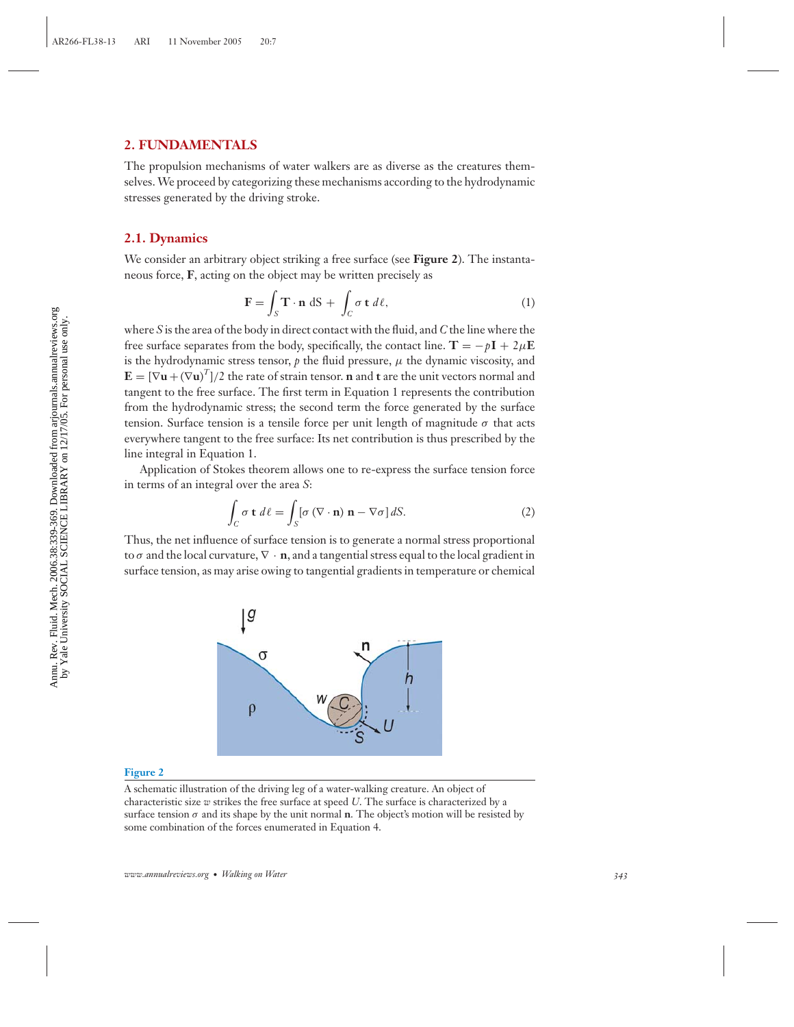# **2. FUNDAMENTALS**

The propulsion mechanisms of water walkers are as diverse as the creatures themselves. We proceed by categorizing these mechanisms according to the hydrodynamic stresses generated by the driving stroke.

## **2.1. Dynamics**

We consider an arbitrary object striking a free surface (see **Figure 2**). The instantaneous force, **F**, acting on the object may be written precisely as

$$
\mathbf{F} = \int_{S} \mathbf{T} \cdot \mathbf{n} \, dS + \int_{C} \sigma \, \mathbf{t} \, d\ell,\tag{1}
$$

where *S* is the area of the body in direct contact with the fluid, and *C* the line where the free surface separates from the body, specifically, the contact line.  $T = -pI + 2\mu E$ is the hydrodynamic stress tensor,  $p$  the fluid pressure,  $\mu$  the dynamic viscosity, and  $\mathbf{E} = [\nabla \mathbf{u} + (\nabla \mathbf{u})^T]/2$  the rate of strain tensor. **n** and **t** are the unit vectors normal and tangent to the free surface. The first term in Equation 1 represents the contribution from the hydrodynamic stress; the second term the force generated by the surface tension. Surface tension is a tensile force per unit length of magnitude  $\sigma$  that acts everywhere tangent to the free surface: Its net contribution is thus prescribed by the line integral in Equation 1.

Application of Stokes theorem allows one to re-express the surface tension force in terms of an integral over the area *S*:

$$
\int_C \sigma \mathbf{t} \, d\ell = \int_S [\sigma (\nabla \cdot \mathbf{n}) \, \mathbf{n} - \nabla \sigma] \, dS. \tag{2}
$$

Thus, the net influence of surface tension is to generate a normal stress proportional to  $\sigma$  and the local curvature,  $\nabla \cdot \mathbf{n}$ , and a tangential stress equal to the local gradient in surface tension, as may arise owing to tangential gradients in temperature or chemical



#### **Figure 2**

A schematic illustration of the driving leg of a water-walking creature. An object of characteristic size *w* strikes the free surface at speed *U*. The surface is characterized by a surface tension  $\sigma$  and its shape by the unit normal **n**. The object's motion will be resisted by some combination of the forces enumerated in Equation 4.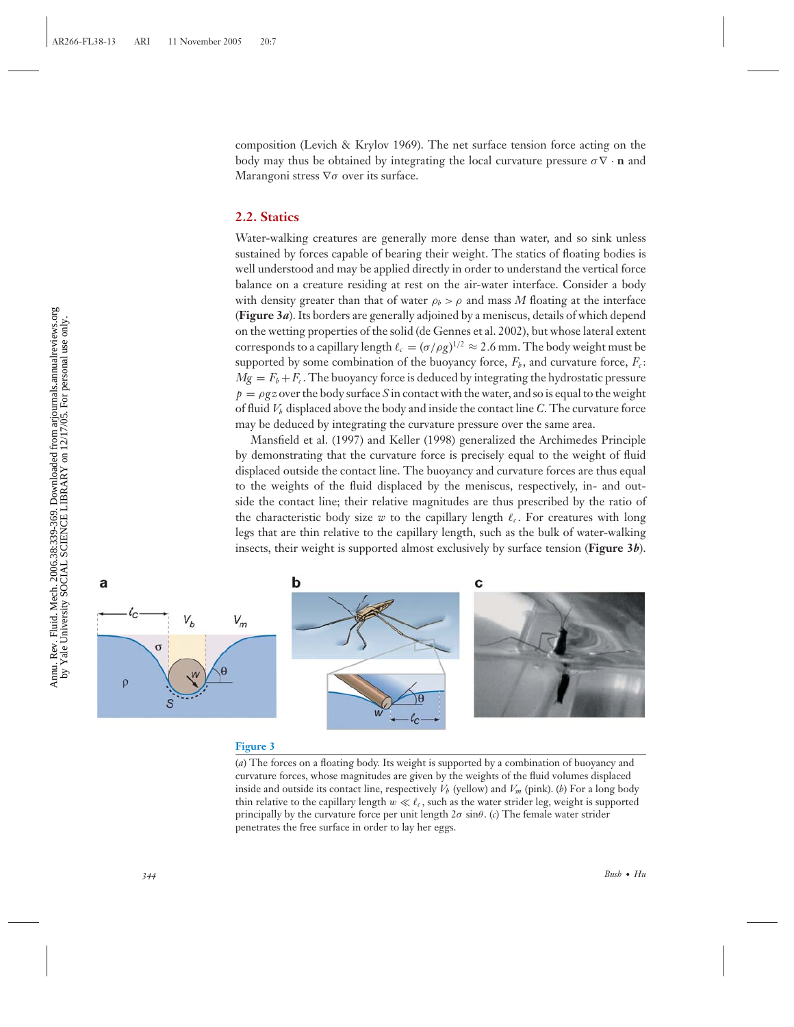composition (Levich & Krylov 1969). The net surface tension force acting on the body may thus be obtained by integrating the local curvature pressure  $\sigma \nabla \cdot \mathbf{n}$  and Marangoni stress  $\nabla\sigma$  over its surface.

# **2.2. Statics**

Water-walking creatures are generally more dense than water, and so sink unless sustained by forces capable of bearing their weight. The statics of floating bodies is well understood and may be applied directly in order to understand the vertical force balance on a creature residing at rest on the air-water interface. Consider a body with density greater than that of water  $\rho_b > \rho$  and mass M floating at the interface (**Figure 3***a*). Its borders are generally adjoined by a meniscus, details of which depend on the wetting properties of the solid (de Gennes et al. 2002), but whose lateral extent corresponds to a capillary length  $\ell_c = (\sigma/\rho g)^{1/2} \approx 2.6$  mm. The body weight must be supported by some combination of the buoyancy force,  $F_b$ , and curvature force,  $F_c$ :  $Mg = F_b + F_c$ . The buoyancy force is deduced by integrating the hydrostatic pressure  $p = \rho g z$  over the body surface *S* in contact with the water, and so is equal to the weight of fluid  $V_b$  displaced above the body and inside the contact line  $C$ . The curvature force may be deduced by integrating the curvature pressure over the same area.

Mansfield et al. (1997) and Keller (1998) generalized the Archimedes Principle by demonstrating that the curvature force is precisely equal to the weight of fluid displaced outside the contact line. The buoyancy and curvature forces are thus equal to the weights of the fluid displaced by the meniscus, respectively, in- and outside the contact line; their relative magnitudes are thus prescribed by the ratio of the characteristic body size  $w$  to the capillary length  $\ell_c$ . For creatures with long legs that are thin relative to the capillary length, such as the bulk of water-walking insects, their weight is supported almost exclusively by surface tension (**Figure 3***b*).



#### **Figure 3**

(*a*) The forces on a floating body. Its weight is supported by a combination of buoyancy and curvature forces, whose magnitudes are given by the weights of the fluid volumes displaced inside and outside its contact line, respectively  $V_b$  (yellow) and  $V_m$  (pink). (b) For a long body thin relative to the capillary length  $w \ll \ell_c$ , such as the water strider leg, weight is supported principally by the curvature force per unit length  $2\sigma \sin\theta$ . (*c*) The female water strider penetrates the free surface in order to lay her eggs.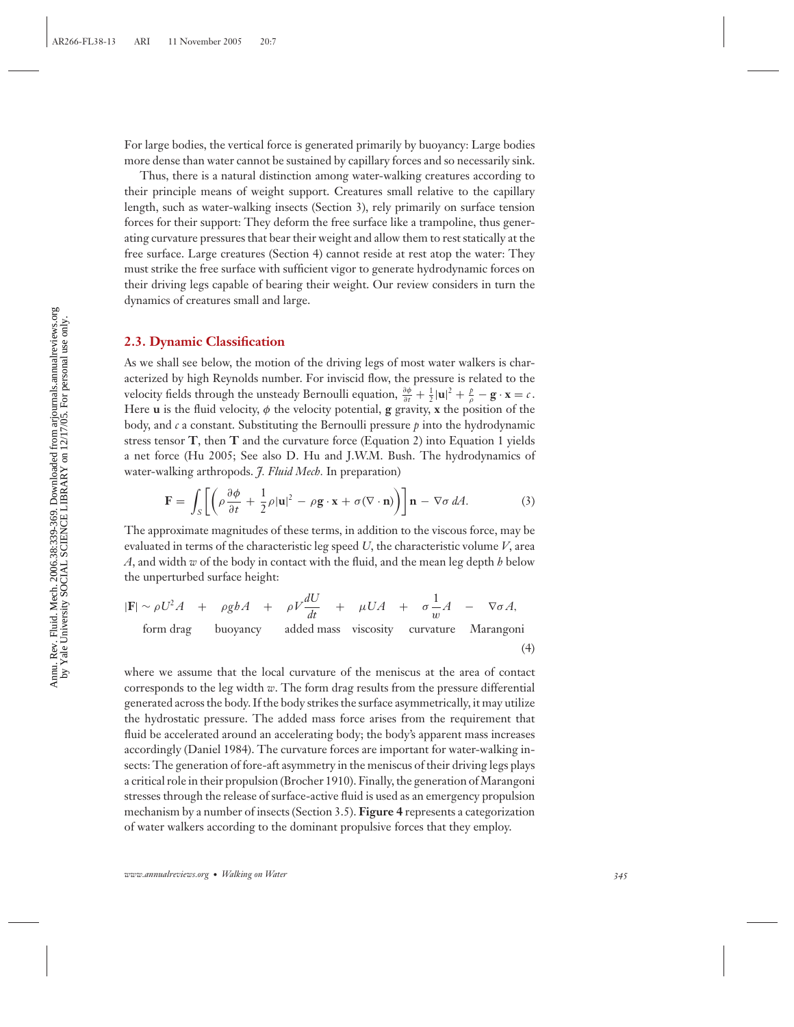For large bodies, the vertical force is generated primarily by buoyancy: Large bodies more dense than water cannot be sustained by capillary forces and so necessarily sink.

Thus, there is a natural distinction among water-walking creatures according to their principle means of weight support. Creatures small relative to the capillary length, such as water-walking insects (Section 3), rely primarily on surface tension forces for their support: They deform the free surface like a trampoline, thus generating curvature pressures that bear their weight and allow them to rest statically at the free surface. Large creatures (Section 4) cannot reside at rest atop the water: They must strike the free surface with sufficient vigor to generate hydrodynamic forces on their driving legs capable of bearing their weight. Our review considers in turn the dynamics of creatures small and large.

## **2.3. Dynamic Classification**

As we shall see below, the motion of the driving legs of most water walkers is characterized by high Reynolds number. For inviscid flow, the pressure is related to the velocity fields through the unsteady Bernoulli equation,  $\frac{\partial \phi}{\partial t} + \frac{1}{2}|\mathbf{u}|^2 + \frac{p}{\rho} - \mathbf{g} \cdot \mathbf{x} = c$ . Here **u** is the fluid velocity, φ the velocity potential, **g** gravity, **x** the position of the body, and *c* a constant. Substituting the Bernoulli pressure *p* into the hydrodynamic stress tensor **T**, then **T** and the curvature force (Equation 2) into Equation 1 yields a net force (Hu 2005; See also D. Hu and J.W.M. Bush. The hydrodynamics of water-walking arthropods. *J. Fluid Mech.* In preparation)

$$
\mathbf{F} = \int_{S} \left[ \left( \rho \frac{\partial \phi}{\partial t} + \frac{1}{2} \rho |\mathbf{u}|^2 - \rho \mathbf{g} \cdot \mathbf{x} + \sigma (\nabla \cdot \mathbf{n}) \right) \right] \mathbf{n} - \nabla \sigma \, dA. \tag{3}
$$

The approximate magnitudes of these terms, in addition to the viscous force, may be evaluated in terms of the characteristic leg speed *U*, the characteristic volume *V*, area *A*, and width *w* of the body in contact with the fluid, and the mean leg depth *h* below the unperturbed surface height:

$$
|\mathbf{F}| \sim \rho U^2 A + \rho g b A + \rho V \frac{dU}{dt} + \mu U A + \sigma \frac{1}{w} A - \nabla \sigma A,
$$
  
form drag buoyancy added mass viscosity curvature Marangoni (4)

where we assume that the local curvature of the meniscus at the area of contact corresponds to the leg width *w*. The form drag results from the pressure differential generated across the body. If the body strikes the surface asymmetrically, it may utilize the hydrostatic pressure. The added mass force arises from the requirement that fluid be accelerated around an accelerating body; the body's apparent mass increases accordingly (Daniel 1984). The curvature forces are important for water-walking insects: The generation of fore-aft asymmetry in the meniscus of their driving legs plays a critical role in their propulsion (Brocher 1910). Finally, the generation of Marangoni stresses through the release of surface-active fluid is used as an emergency propulsion mechanism by a number of insects (Section 3.5). **Figure 4** represents a categorization of water walkers according to the dominant propulsive forces that they employ.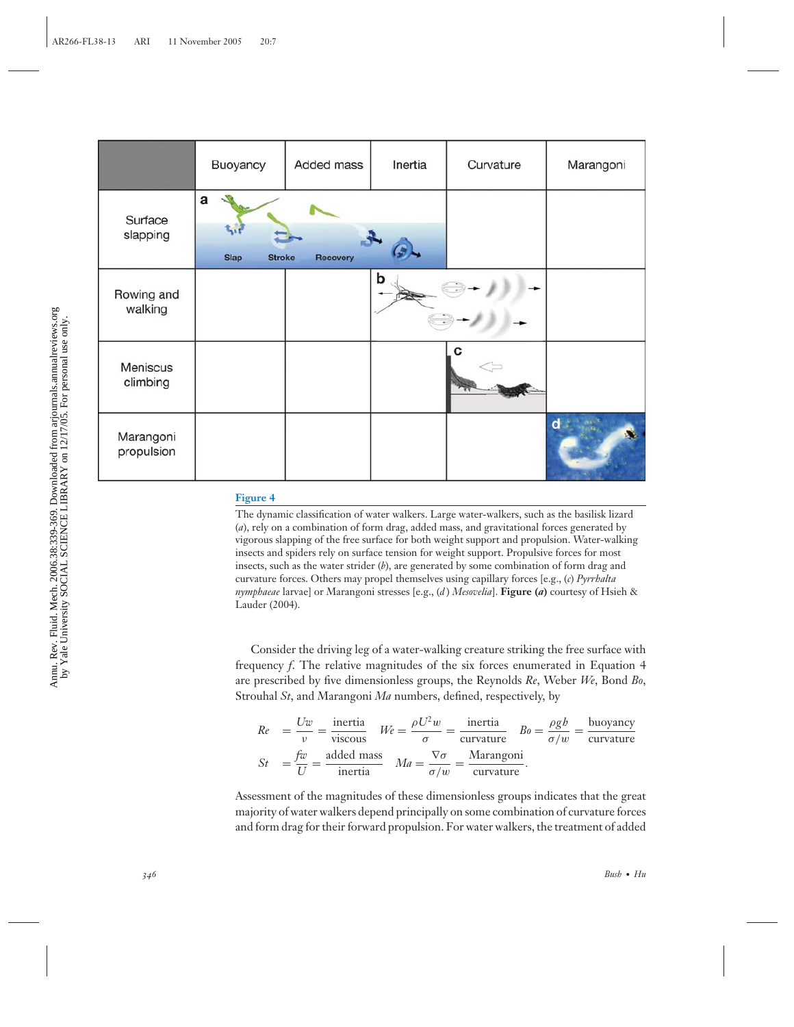

### **Figure 4**

The dynamic classification of water walkers. Large water-walkers, such as the basilisk lizard (*a*), rely on a combination of form drag, added mass, and gravitational forces generated by vigorous slapping of the free surface for both weight support and propulsion. Water-walking insects and spiders rely on surface tension for weight support. Propulsive forces for most insects, such as the water strider (*b*), are generated by some combination of form drag and curvature forces. Others may propel themselves using capillary forces [e.g., (*c*) *Pyrrhalta nymphaeae* larvae] or Marangoni stresses [e.g., (*d* ) *Mesovelia*]. **Figure (***a***)** courtesy of Hsieh & Lauder (2004).

Consider the driving leg of a water-walking creature striking the free surface with frequency *f*. The relative magnitudes of the six forces enumerated in Equation 4 are prescribed by five dimensionless groups, the Reynolds *Re*, Weber *We*, Bond *Bo*, Strouhal *St*, and Marangoni *Ma* numbers, defined, respectively, by

$$
Re = \frac{Uw}{v} = \frac{\text{inertia}}{\text{viscous}} \quad We = \frac{\rho U^2 w}{\sigma} = \frac{\text{inertia}}{\text{curvature}} \quad Bo = \frac{\rho g b}{\sigma/w} = \frac{\text{buoyancy}}{\text{curvature}}
$$
\n
$$
St = \frac{fw}{U} = \frac{\text{added mass}}{\text{inertia}} \quad Ma = \frac{\nabla \sigma}{\sigma/w} = \frac{\text{Marangoni}}{\text{curvature}}.
$$

Assessment of the magnitudes of these dimensionless groups indicates that the great majority of water walkers depend principally on some combination of curvature forces and form drag for their forward propulsion. For water walkers, the treatment of added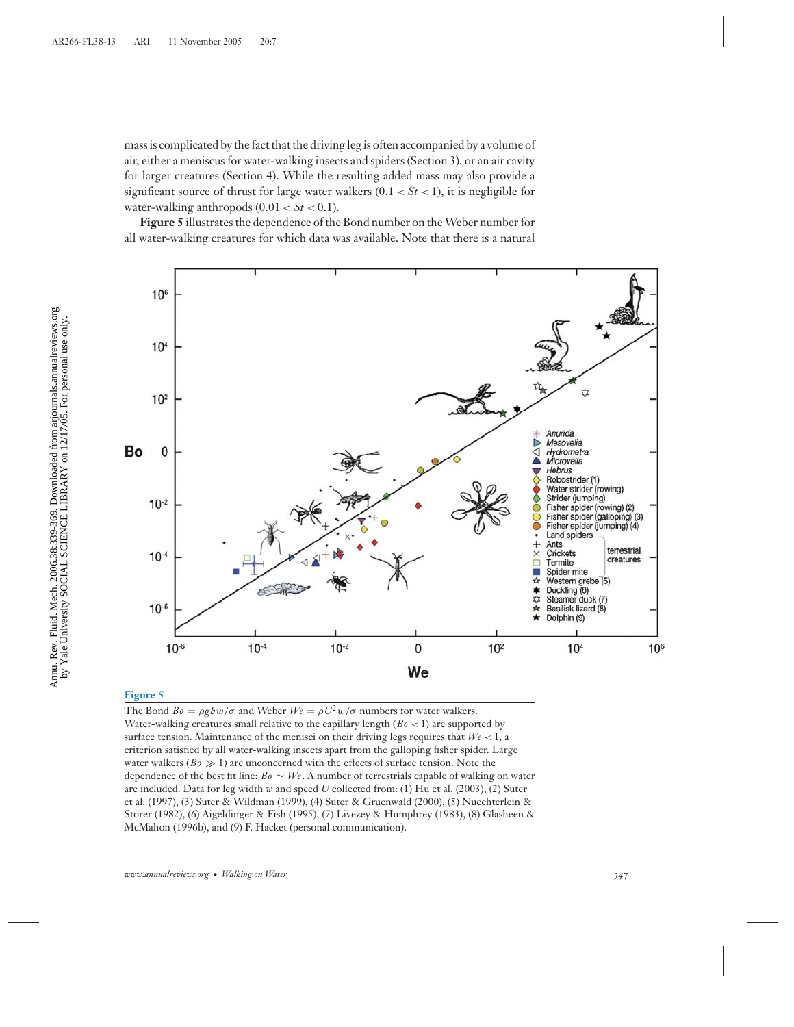mass is complicated by the fact that the driving leg is often accompanied by a volume of air, either a meniscus for water-walking insects and spiders (Section 3), or an air cavity for larger creatures (Section 4). While the resulting added mass may also provide a significant source of thrust for large water walkers  $(0.1 < St < 1)$ , it is negligible for water-walking anthropods  $(0.01 < St < 0.1)$ .

**Figure 5** illustrates the dependence of the Bond number on the Weber number for all water-walking creatures for which data was available. Note that there is a natural



#### **Figure 5**

The Bond  $B_0 = \rho g h w / \sigma$  and Weber  $W_e = \rho U^2 w / \sigma$  numbers for water walkers. Water-walking creatures small relative to the capillary length  $(B_0 < 1)$  are supported by surface tension. Maintenance of the menisci on their driving legs requires that  $We < 1$ , a criterion satisfied by all water-walking insects apart from the galloping fisher spider. Large water walkers ( $B_0 \gg 1$ ) are unconcerned with the effects of surface tension. Note the dependence of the best fit line: *Bo* ∼ *We*. A number of terrestrials capable of walking on water are included. Data for leg width *w* and speed *U* collected from: (1) Hu et al. (2003), (2) Suter et al. (1997), (3) Suter & Wildman (1999), (4) Suter & Gruenwald (2000), (5) Nuechterlein & Storer (1982), (6) Aigeldinger & Fish (1995), (7) Livezey & Humphrey (1983), (8) Glasheen & McMahon (1996b), and (9) F. Hacket (personal communication).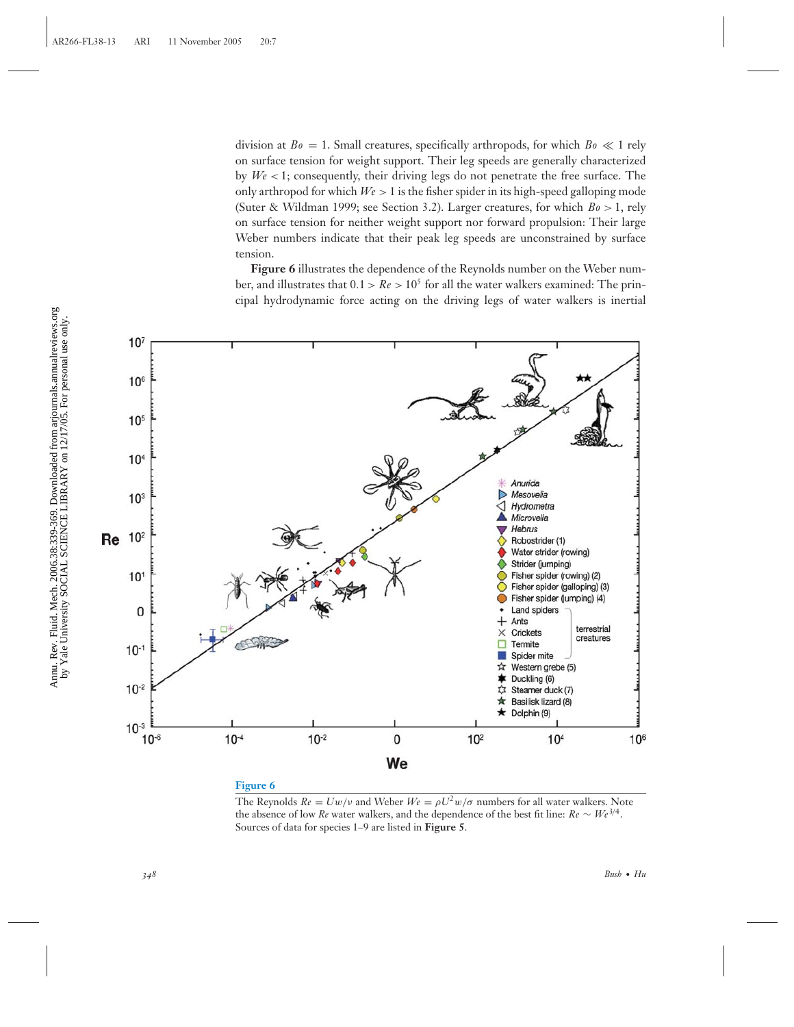division at  $Bo = 1$ . Small creatures, specifically arthropods, for which  $Bo \ll 1$  rely on surface tension for weight support. Their leg speeds are generally characterized by *We* < 1; consequently, their driving legs do not penetrate the free surface. The only arthropod for which  $W_e > 1$  is the fisher spider in its high-speed galloping mode (Suter & Wildman 1999; see Section 3.2). Larger creatures, for which *Bo* > 1, rely on surface tension for neither weight support nor forward propulsion: Their large Weber numbers indicate that their peak leg speeds are unconstrained by surface tension.

**Figure 6** illustrates the dependence of the Reynolds number on the Weber number, and illustrates that  $0.1 > Re > 10^5$  for all the water walkers examined: The principal hydrodynamic force acting on the driving legs of water walkers is inertial



#### **Figure 6**

The Reynolds  $Re = Uw/v$  and Weber  $We = \rho U^2 w/\sigma$  numbers for all water walkers. Note the absence of low *Re* water walkers, and the dependence of the best fit line:  $Re \sim We^{3/4}$ . Sources of data for species 1–9 are listed in **Figure 5**.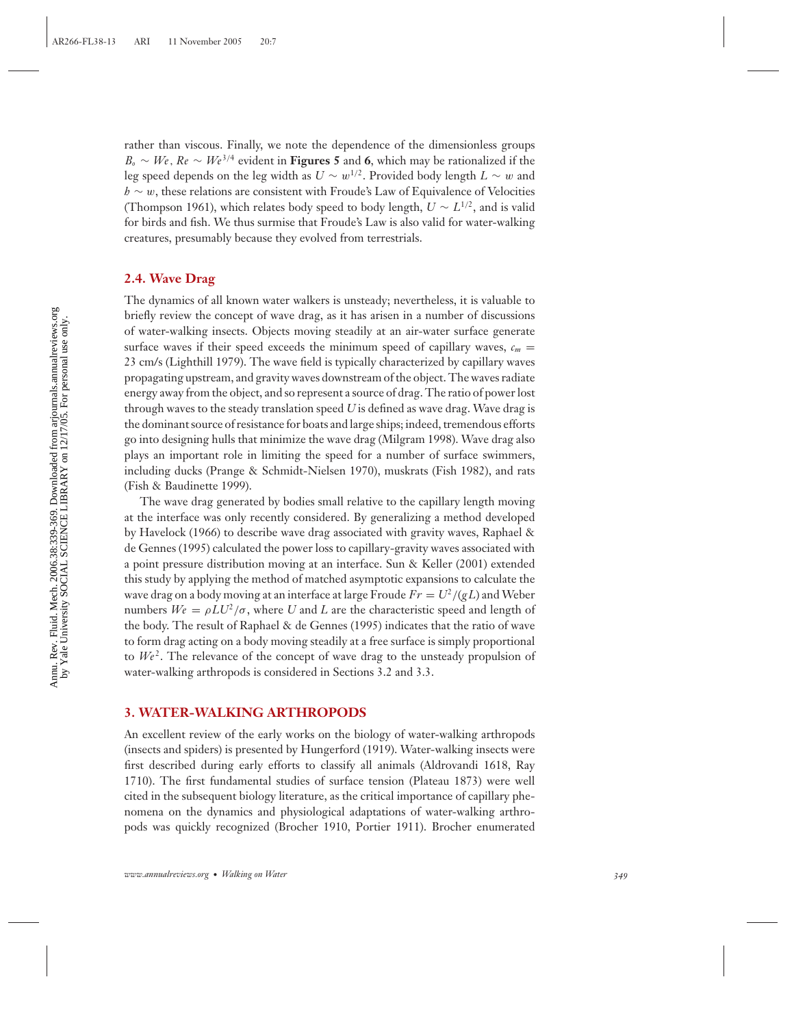rather than viscous. Finally, we note the dependence of the dimensionless groups  $B_0 \sim W_e$ ,  $Re \sim We^{3/4}$  evident in **Figures 5** and **6**, which may be rationalized if the leg speed depends on the leg width as  $U \sim w^{1/2}$ . Provided body length  $L \sim w$  and *h* ∼ w, these relations are consistent with Froude's Law of Equivalence of Velocities (Thompson 1961), which relates body speed to body length,  $U \sim L^{1/2}$ , and is valid for birds and fish. We thus surmise that Froude's Law is also valid for water-walking creatures, presumably because they evolved from terrestrials.

# **2.4. Wave Drag**

The dynamics of all known water walkers is unsteady; nevertheless, it is valuable to briefly review the concept of wave drag, as it has arisen in a number of discussions of water-walking insects. Objects moving steadily at an air-water surface generate surface waves if their speed exceeds the minimum speed of capillary waves,  $c_m$  = 23 cm/s (Lighthill 1979). The wave field is typically characterized by capillary waves propagating upstream, and gravity waves downstream of the object. The waves radiate energy away from the object, and so represent a source of drag. The ratio of power lost through waves to the steady translation speed *U* is defined as wave drag. Wave drag is the dominant source of resistance for boats and large ships; indeed, tremendous efforts go into designing hulls that minimize the wave drag (Milgram 1998). Wave drag also plays an important role in limiting the speed for a number of surface swimmers, including ducks (Prange & Schmidt-Nielsen 1970), muskrats (Fish 1982), and rats (Fish & Baudinette 1999).

The wave drag generated by bodies small relative to the capillary length moving at the interface was only recently considered. By generalizing a method developed by Havelock (1966) to describe wave drag associated with gravity waves, Raphael & de Gennes (1995) calculated the power loss to capillary-gravity waves associated with a point pressure distribution moving at an interface. Sun & Keller (2001) extended this study by applying the method of matched asymptotic expansions to calculate the wave drag on a body moving at an interface at large Froude  $Fr = U^2/(gL)$  and Weber numbers  $W_e = \rho L U^2 / \sigma$ , where *U* and *L* are the characteristic speed and length of the body. The result of Raphael & de Gennes (1995) indicates that the ratio of wave to form drag acting on a body moving steadily at a free surface is simply proportional to *We*<sup>2</sup>. The relevance of the concept of wave drag to the unsteady propulsion of water-walking arthropods is considered in Sections 3.2 and 3.3.

# **3. WATER-WALKING ARTHROPODS**

An excellent review of the early works on the biology of water-walking arthropods (insects and spiders) is presented by Hungerford (1919). Water-walking insects were first described during early efforts to classify all animals (Aldrovandi 1618, Ray 1710). The first fundamental studies of surface tension (Plateau 1873) were well cited in the subsequent biology literature, as the critical importance of capillary phenomena on the dynamics and physiological adaptations of water-walking arthropods was quickly recognized (Brocher 1910, Portier 1911). Brocher enumerated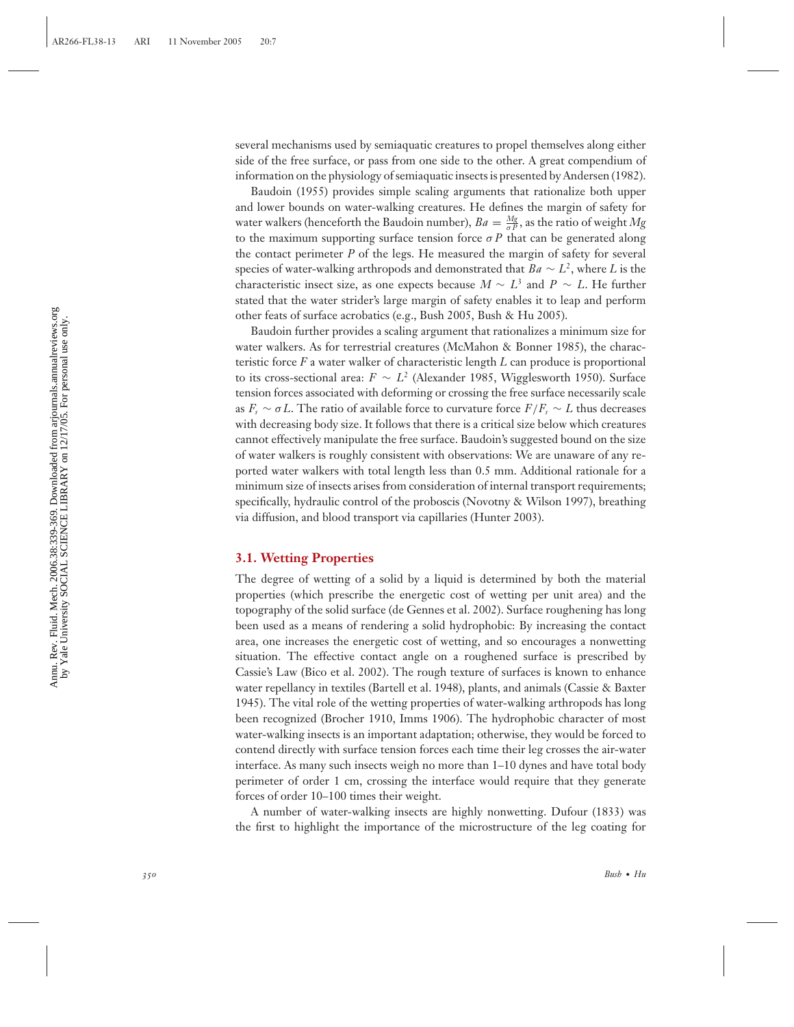several mechanisms used by semiaquatic creatures to propel themselves along either side of the free surface, or pass from one side to the other. A great compendium of information on the physiology of semiaquatic insects is presented by Andersen (1982).

Baudoin (1955) provides simple scaling arguments that rationalize both upper and lower bounds on water-walking creatures. He defines the margin of safety for water walkers (henceforth the Baudoin number),  $Ba = \frac{Mg}{\sigma P}$ , as the ratio of weight *Mg* to the maximum supporting surface tension force  $\sigma P$  that can be generated along the contact perimeter *P* of the legs. He measured the margin of safety for several species of water-walking arthropods and demonstrated that *Ba* ∼ *L*2, where *L* is the characteristic insect size, as one expects because  $M \sim L^3$  and  $P \sim L$ . He further stated that the water strider's large margin of safety enables it to leap and perform other feats of surface acrobatics (e.g., Bush 2005, Bush & Hu 2005).

Baudoin further provides a scaling argument that rationalizes a minimum size for water walkers. As for terrestrial creatures (McMahon & Bonner 1985), the characteristic force *F* a water walker of characteristic length *L* can produce is proportional to its cross-sectional area: *F* ∼ *L*<sup>2</sup> (Alexander 1985, Wigglesworth 1950). Surface tension forces associated with deforming or crossing the free surface necessarily scale as  $F_s \sim \sigma L$ . The ratio of available force to curvature force  $F/F_s \sim L$  thus decreases with decreasing body size. It follows that there is a critical size below which creatures cannot effectively manipulate the free surface. Baudoin's suggested bound on the size of water walkers is roughly consistent with observations: We are unaware of any reported water walkers with total length less than 0.5 mm. Additional rationale for a minimum size of insects arises from consideration of internal transport requirements; specifically, hydraulic control of the proboscis (Novotny & Wilson 1997), breathing via diffusion, and blood transport via capillaries (Hunter 2003).

# **3.1. Wetting Properties**

The degree of wetting of a solid by a liquid is determined by both the material properties (which prescribe the energetic cost of wetting per unit area) and the topography of the solid surface (de Gennes et al. 2002). Surface roughening has long been used as a means of rendering a solid hydrophobic: By increasing the contact area, one increases the energetic cost of wetting, and so encourages a nonwetting situation. The effective contact angle on a roughened surface is prescribed by Cassie's Law (Bico et al. 2002). The rough texture of surfaces is known to enhance water repellancy in textiles (Bartell et al. 1948), plants, and animals (Cassie & Baxter 1945). The vital role of the wetting properties of water-walking arthropods has long been recognized (Brocher 1910, Imms 1906). The hydrophobic character of most water-walking insects is an important adaptation; otherwise, they would be forced to contend directly with surface tension forces each time their leg crosses the air-water interface. As many such insects weigh no more than 1–10 dynes and have total body perimeter of order 1 cm, crossing the interface would require that they generate forces of order 10–100 times their weight.

A number of water-walking insects are highly nonwetting. Dufour (1833) was the first to highlight the importance of the microstructure of the leg coating for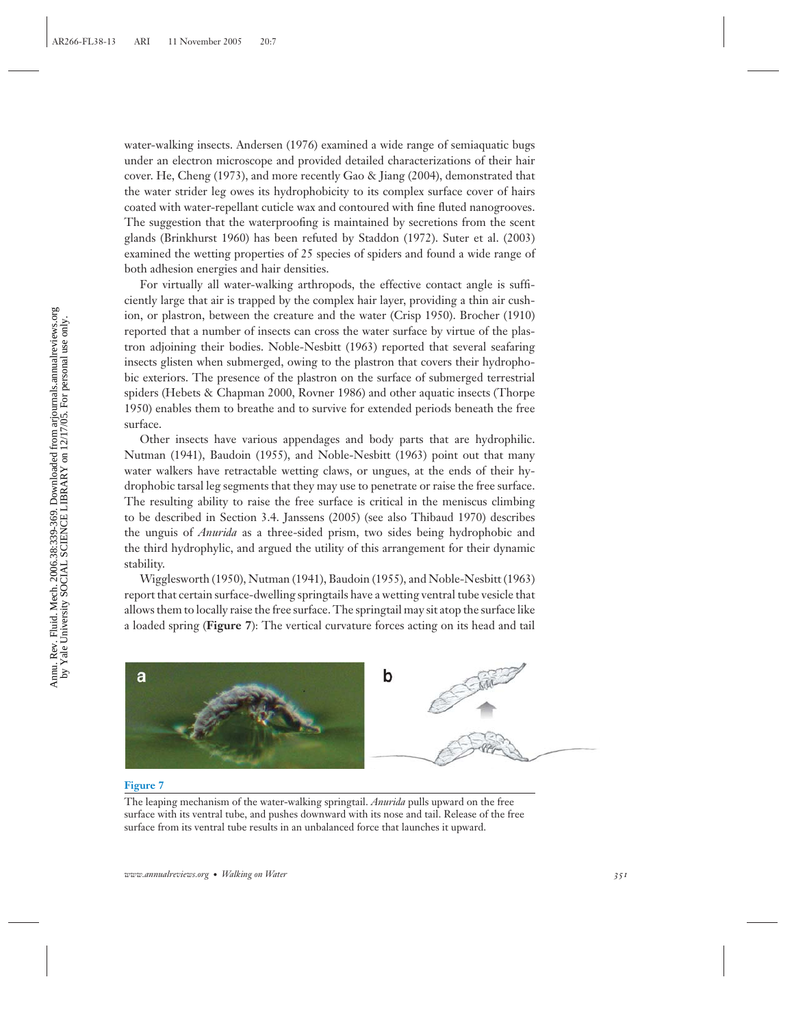water-walking insects. Andersen (1976) examined a wide range of semiaquatic bugs under an electron microscope and provided detailed characterizations of their hair cover. He, Cheng (1973), and more recently Gao & Jiang (2004), demonstrated that the water strider leg owes its hydrophobicity to its complex surface cover of hairs coated with water-repellant cuticle wax and contoured with fine fluted nanogrooves. The suggestion that the waterproofing is maintained by secretions from the scent glands (Brinkhurst 1960) has been refuted by Staddon (1972). Suter et al. (2003) examined the wetting properties of 25 species of spiders and found a wide range of both adhesion energies and hair densities.

For virtually all water-walking arthropods, the effective contact angle is sufficiently large that air is trapped by the complex hair layer, providing a thin air cushion, or plastron, between the creature and the water (Crisp 1950). Brocher (1910) reported that a number of insects can cross the water surface by virtue of the plastron adjoining their bodies. Noble-Nesbitt (1963) reported that several seafaring insects glisten when submerged, owing to the plastron that covers their hydrophobic exteriors. The presence of the plastron on the surface of submerged terrestrial spiders (Hebets & Chapman 2000, Rovner 1986) and other aquatic insects (Thorpe 1950) enables them to breathe and to survive for extended periods beneath the free surface.

Other insects have various appendages and body parts that are hydrophilic. Nutman (1941), Baudoin (1955), and Noble-Nesbitt (1963) point out that many water walkers have retractable wetting claws, or ungues, at the ends of their hydrophobic tarsal leg segments that they may use to penetrate or raise the free surface. The resulting ability to raise the free surface is critical in the meniscus climbing to be described in Section 3.4. Janssens (2005) (see also Thibaud 1970) describes the unguis of *Anurida* as a three-sided prism, two sides being hydrophobic and the third hydrophylic, and argued the utility of this arrangement for their dynamic stability.

Wigglesworth (1950), Nutman (1941), Baudoin (1955), and Noble-Nesbitt (1963) report that certain surface-dwelling springtails have a wetting ventral tube vesicle that allows them to locally raise the free surface. The springtail may sit atop the surface like a loaded spring (**Figure 7**): The vertical curvature forces acting on its head and tail



#### **Figure 7**

The leaping mechanism of the water-walking springtail. *Anurida* pulls upward on the free surface with its ventral tube, and pushes downward with its nose and tail. Release of the free surface from its ventral tube results in an unbalanced force that launches it upward.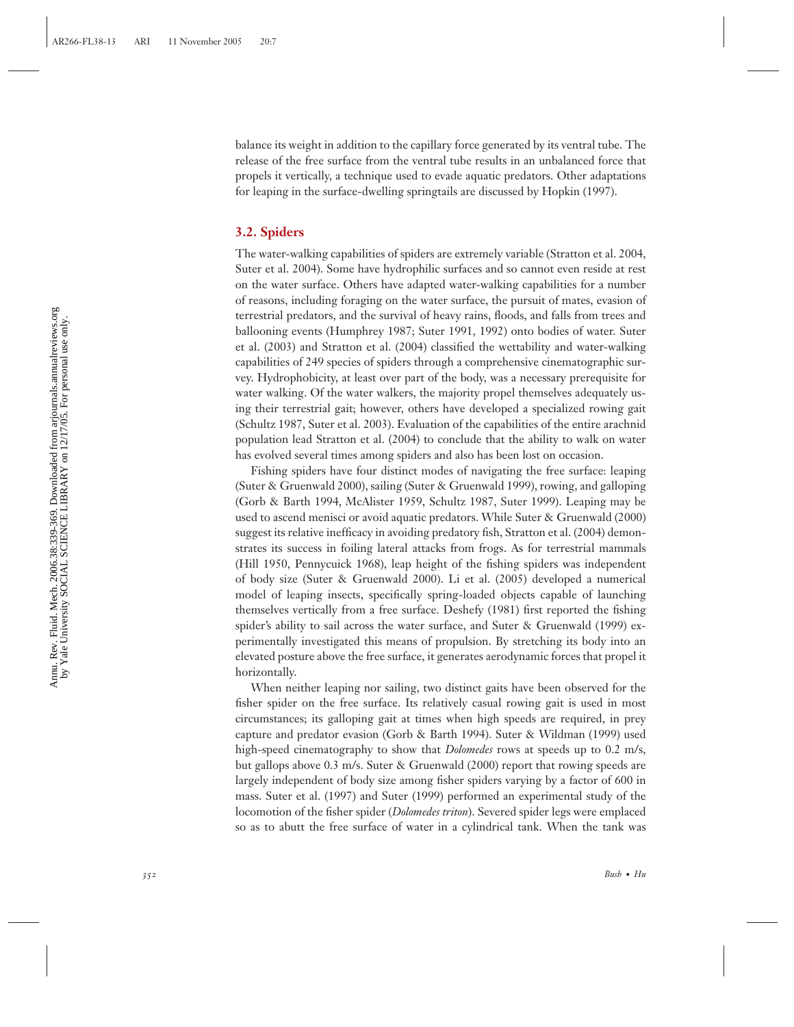balance its weight in addition to the capillary force generated by its ventral tube. The release of the free surface from the ventral tube results in an unbalanced force that propels it vertically, a technique used to evade aquatic predators. Other adaptations for leaping in the surface-dwelling springtails are discussed by Hopkin (1997).

### **3.2. Spiders**

The water-walking capabilities of spiders are extremely variable (Stratton et al. 2004, Suter et al. 2004). Some have hydrophilic surfaces and so cannot even reside at rest on the water surface. Others have adapted water-walking capabilities for a number of reasons, including foraging on the water surface, the pursuit of mates, evasion of terrestrial predators, and the survival of heavy rains, floods, and falls from trees and ballooning events (Humphrey 1987; Suter 1991, 1992) onto bodies of water. Suter et al. (2003) and Stratton et al. (2004) classified the wettability and water-walking capabilities of 249 species of spiders through a comprehensive cinematographic survey. Hydrophobicity, at least over part of the body, was a necessary prerequisite for water walking. Of the water walkers, the majority propel themselves adequately using their terrestrial gait; however, others have developed a specialized rowing gait (Schultz 1987, Suter et al. 2003). Evaluation of the capabilities of the entire arachnid population lead Stratton et al. (2004) to conclude that the ability to walk on water has evolved several times among spiders and also has been lost on occasion.

Fishing spiders have four distinct modes of navigating the free surface: leaping (Suter & Gruenwald 2000), sailing (Suter & Gruenwald 1999), rowing, and galloping (Gorb & Barth 1994, McAlister 1959, Schultz 1987, Suter 1999). Leaping may be used to ascend menisci or avoid aquatic predators. While Suter & Gruenwald (2000) suggest its relative inefficacy in avoiding predatory fish, Stratton et al. (2004) demonstrates its success in foiling lateral attacks from frogs. As for terrestrial mammals (Hill 1950, Pennycuick 1968), leap height of the fishing spiders was independent of body size (Suter & Gruenwald 2000). Li et al. (2005) developed a numerical model of leaping insects, specifically spring-loaded objects capable of launching themselves vertically from a free surface. Deshefy (1981) first reported the fishing spider's ability to sail across the water surface, and Suter & Gruenwald (1999) experimentally investigated this means of propulsion. By stretching its body into an elevated posture above the free surface, it generates aerodynamic forces that propel it horizontally.

When neither leaping nor sailing, two distinct gaits have been observed for the fisher spider on the free surface. Its relatively casual rowing gait is used in most circumstances; its galloping gait at times when high speeds are required, in prey capture and predator evasion (Gorb & Barth 1994). Suter & Wildman (1999) used high-speed cinematography to show that *Dolomedes* rows at speeds up to 0.2 m/s, but gallops above 0.3 m/s. Suter & Gruenwald (2000) report that rowing speeds are largely independent of body size among fisher spiders varying by a factor of 600 in mass. Suter et al. (1997) and Suter (1999) performed an experimental study of the locomotion of the fisher spider (*Dolomedes triton*). Severed spider legs were emplaced so as to abutt the free surface of water in a cylindrical tank. When the tank was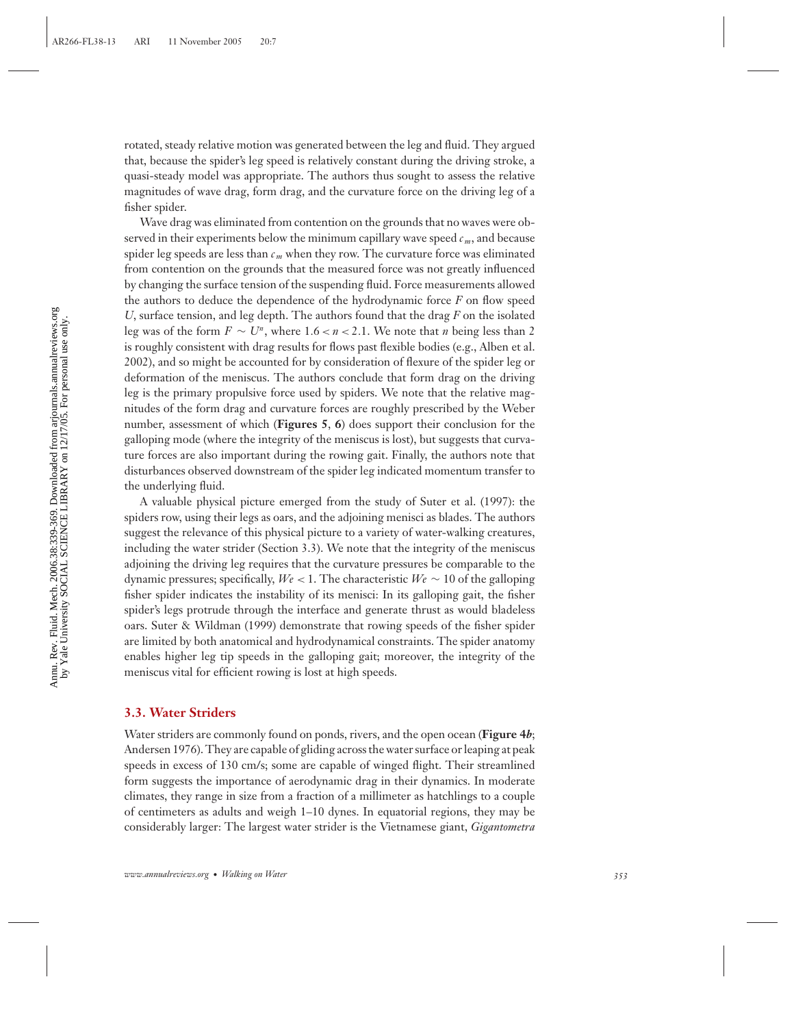rotated, steady relative motion was generated between the leg and fluid. They argued that, because the spider's leg speed is relatively constant during the driving stroke, a quasi-steady model was appropriate. The authors thus sought to assess the relative magnitudes of wave drag, form drag, and the curvature force on the driving leg of a fisher spider.

Wave drag was eliminated from contention on the grounds that no waves were observed in their experiments below the minimum capillary wave speed  $c_m$ , and because spider leg speeds are less than  $c_m$  when they row. The curvature force was eliminated from contention on the grounds that the measured force was not greatly influenced by changing the surface tension of the suspending fluid. Force measurements allowed the authors to deduce the dependence of the hydrodynamic force *F* on flow speed *U*, surface tension, and leg depth. The authors found that the drag *F* on the isolated leg was of the form  $F \sim U^n$ , where 1.6 <  $n$  < 2.1. We note that *n* being less than 2 is roughly consistent with drag results for flows past flexible bodies (e.g., Alben et al. 2002), and so might be accounted for by consideration of flexure of the spider leg or deformation of the meniscus. The authors conclude that form drag on the driving leg is the primary propulsive force used by spiders. We note that the relative magnitudes of the form drag and curvature forces are roughly prescribed by the Weber number, assessment of which (**Figures 5**, **6**) does support their conclusion for the galloping mode (where the integrity of the meniscus is lost), but suggests that curvature forces are also important during the rowing gait. Finally, the authors note that disturbances observed downstream of the spider leg indicated momentum transfer to the underlying fluid.

A valuable physical picture emerged from the study of Suter et al. (1997): the spiders row, using their legs as oars, and the adjoining menisci as blades. The authors suggest the relevance of this physical picture to a variety of water-walking creatures, including the water strider (Section 3.3). We note that the integrity of the meniscus adjoining the driving leg requires that the curvature pressures be comparable to the dynamic pressures; specifically, *We* < 1. The characteristic *We* ∼ 10 of the galloping fisher spider indicates the instability of its menisci: In its galloping gait, the fisher spider's legs protrude through the interface and generate thrust as would bladeless oars. Suter & Wildman (1999) demonstrate that rowing speeds of the fisher spider are limited by both anatomical and hydrodynamical constraints. The spider anatomy enables higher leg tip speeds in the galloping gait; moreover, the integrity of the meniscus vital for efficient rowing is lost at high speeds.

## **3.3. Water Striders**

Water striders are commonly found on ponds, rivers, and the open ocean (**Figure 4***b*; Andersen 1976). They are capable of gliding across the water surface or leaping at peak speeds in excess of 130 cm/s; some are capable of winged flight. Their streamlined form suggests the importance of aerodynamic drag in their dynamics. In moderate climates, they range in size from a fraction of a millimeter as hatchlings to a couple of centimeters as adults and weigh 1–10 dynes. In equatorial regions, they may be considerably larger: The largest water strider is the Vietnamese giant, *Gigantometra*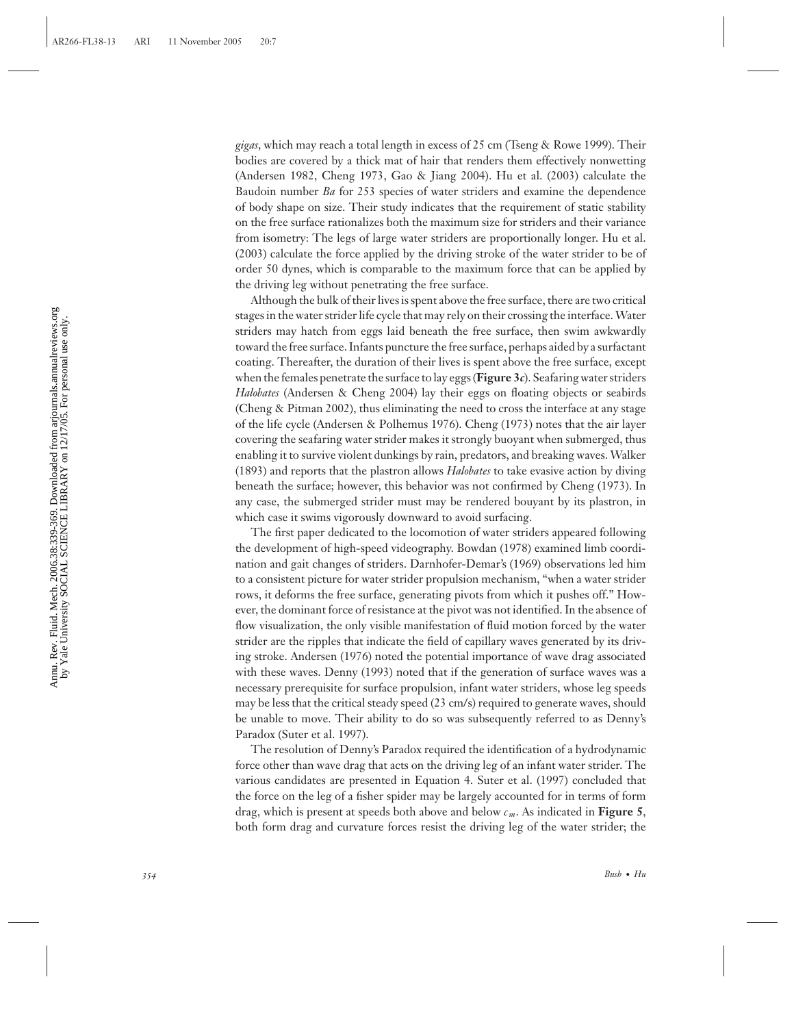*gigas*, which may reach a total length in excess of 25 cm (Tseng & Rowe 1999). Their bodies are covered by a thick mat of hair that renders them effectively nonwetting (Andersen 1982, Cheng 1973, Gao & Jiang 2004). Hu et al. (2003) calculate the Baudoin number *Ba* for 253 species of water striders and examine the dependence of body shape on size. Their study indicates that the requirement of static stability on the free surface rationalizes both the maximum size for striders and their variance from isometry: The legs of large water striders are proportionally longer. Hu et al. (2003) calculate the force applied by the driving stroke of the water strider to be of order 50 dynes, which is comparable to the maximum force that can be applied by the driving leg without penetrating the free surface.

Although the bulk of their lives is spent above the free surface, there are two critical stages in the water strider life cycle that may rely on their crossing the interface. Water striders may hatch from eggs laid beneath the free surface, then swim awkwardly toward the free surface. Infants puncture the free surface, perhaps aided by a surfactant coating. Thereafter, the duration of their lives is spent above the free surface, except when the females penetrate the surface to lay eggs (**Figure 3***c*). Seafaring water striders *Halobates* (Andersen & Cheng 2004) lay their eggs on floating objects or seabirds (Cheng & Pitman 2002), thus eliminating the need to cross the interface at any stage of the life cycle (Andersen & Polhemus 1976). Cheng (1973) notes that the air layer covering the seafaring water strider makes it strongly buoyant when submerged, thus enabling it to survive violent dunkings by rain, predators, and breaking waves. Walker (1893) and reports that the plastron allows *Halobates* to take evasive action by diving beneath the surface; however, this behavior was not confirmed by Cheng (1973). In any case, the submerged strider must may be rendered bouyant by its plastron, in which case it swims vigorously downward to avoid surfacing.

The first paper dedicated to the locomotion of water striders appeared following the development of high-speed videography. Bowdan (1978) examined limb coordination and gait changes of striders. Darnhofer-Demar's (1969) observations led him to a consistent picture for water strider propulsion mechanism, "when a water strider rows, it deforms the free surface, generating pivots from which it pushes off." However, the dominant force of resistance at the pivot was not identified. In the absence of flow visualization, the only visible manifestation of fluid motion forced by the water strider are the ripples that indicate the field of capillary waves generated by its driving stroke. Andersen (1976) noted the potential importance of wave drag associated with these waves. Denny (1993) noted that if the generation of surface waves was a necessary prerequisite for surface propulsion, infant water striders, whose leg speeds may be less that the critical steady speed (23 cm/s) required to generate waves, should be unable to move. Their ability to do so was subsequently referred to as Denny's Paradox (Suter et al. 1997).

The resolution of Denny's Paradox required the identification of a hydrodynamic force other than wave drag that acts on the driving leg of an infant water strider. The various candidates are presented in Equation 4. Suter et al. (1997) concluded that the force on the leg of a fisher spider may be largely accounted for in terms of form drag, which is present at speeds both above and below  $c_m$ . As indicated in **Figure 5**, both form drag and curvature forces resist the driving leg of the water strider; the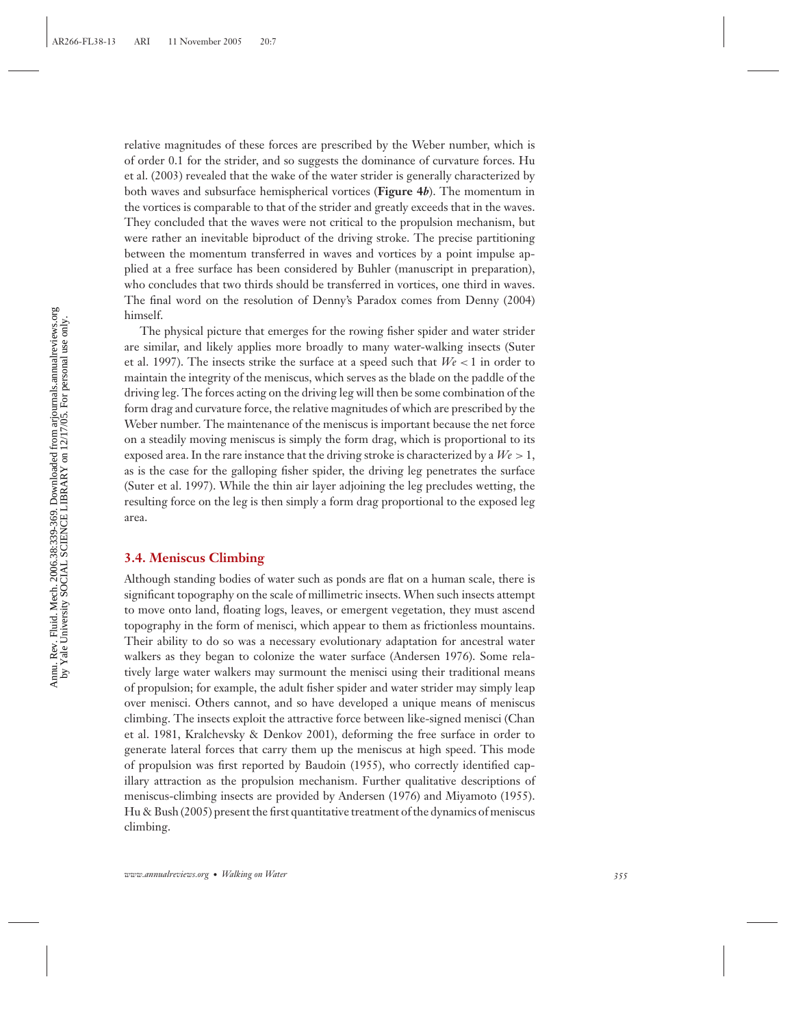relative magnitudes of these forces are prescribed by the Weber number, which is of order 0.1 for the strider, and so suggests the dominance of curvature forces. Hu et al. (2003) revealed that the wake of the water strider is generally characterized by both waves and subsurface hemispherical vortices (**Figure 4***b*). The momentum in the vortices is comparable to that of the strider and greatly exceeds that in the waves. They concluded that the waves were not critical to the propulsion mechanism, but were rather an inevitable biproduct of the driving stroke. The precise partitioning between the momentum transferred in waves and vortices by a point impulse applied at a free surface has been considered by Buhler (manuscript in preparation), who concludes that two thirds should be transferred in vortices, one third in waves. The final word on the resolution of Denny's Paradox comes from Denny (2004) himself.

The physical picture that emerges for the rowing fisher spider and water strider are similar, and likely applies more broadly to many water-walking insects (Suter et al. 1997). The insects strike the surface at a speed such that *We* < 1 in order to maintain the integrity of the meniscus, which serves as the blade on the paddle of the driving leg. The forces acting on the driving leg will then be some combination of the form drag and curvature force, the relative magnitudes of which are prescribed by the Weber number. The maintenance of the meniscus is important because the net force on a steadily moving meniscus is simply the form drag, which is proportional to its exposed area. In the rare instance that the driving stroke is characterized by a  $We > 1$ , as is the case for the galloping fisher spider, the driving leg penetrates the surface (Suter et al. 1997). While the thin air layer adjoining the leg precludes wetting, the resulting force on the leg is then simply a form drag proportional to the exposed leg area.

## **3.4. Meniscus Climbing**

Although standing bodies of water such as ponds are flat on a human scale, there is significant topography on the scale of millimetric insects. When such insects attempt to move onto land, floating logs, leaves, or emergent vegetation, they must ascend topography in the form of menisci, which appear to them as frictionless mountains. Their ability to do so was a necessary evolutionary adaptation for ancestral water walkers as they began to colonize the water surface (Andersen 1976). Some relatively large water walkers may surmount the menisci using their traditional means of propulsion; for example, the adult fisher spider and water strider may simply leap over menisci. Others cannot, and so have developed a unique means of meniscus climbing. The insects exploit the attractive force between like-signed menisci (Chan et al. 1981, Kralchevsky & Denkov 2001), deforming the free surface in order to generate lateral forces that carry them up the meniscus at high speed. This mode of propulsion was first reported by Baudoin (1955), who correctly identified capillary attraction as the propulsion mechanism. Further qualitative descriptions of meniscus-climbing insects are provided by Andersen (1976) and Miyamoto (1955). Hu & Bush (2005) present the first quantitative treatment of the dynamics of meniscus climbing.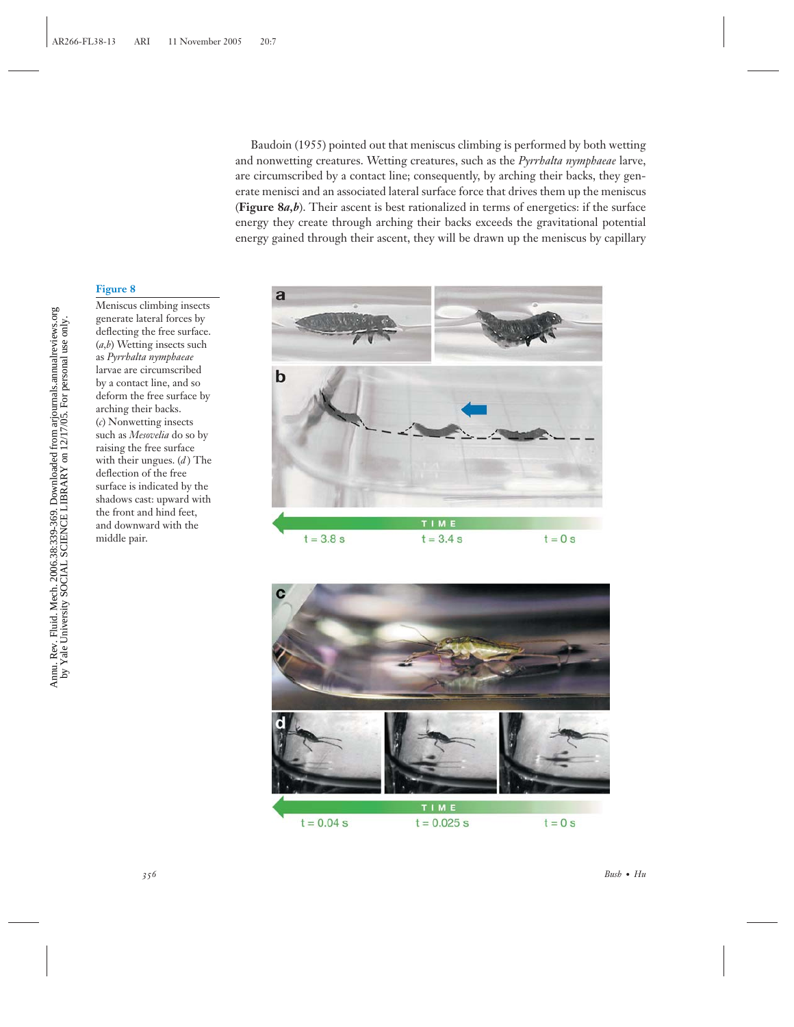Baudoin (1955) pointed out that meniscus climbing is performed by both wetting and nonwetting creatures. Wetting creatures, such as the *Pyrrhalta nymphaeae* larve, are circumscribed by a contact line; consequently, by arching their backs, they generate menisci and an associated lateral surface force that drives them up the meniscus (**Figure 8***a,b*). Their ascent is best rationalized in terms of energetics: if the surface energy they create through arching their backs exceeds the gravitational potential energy gained through their ascent, they will be drawn up the meniscus by capillary

#### **Figure 8**

Meniscus climbing insects generate lateral forces by deflecting the free surface. (*a,b*) Wetting insects such as *Pyrrhalta nymphaeae* larvae are circumscribed by a contact line, and so deform the free surface by arching their backs. (*c*) Nonwetting insects such as *Mesovelia* do so by raising the free surface with their ungues. (d) The deflection of the free surface is indicated by the shadows cast: upward with the front and hind feet, and downward with the middle pair.



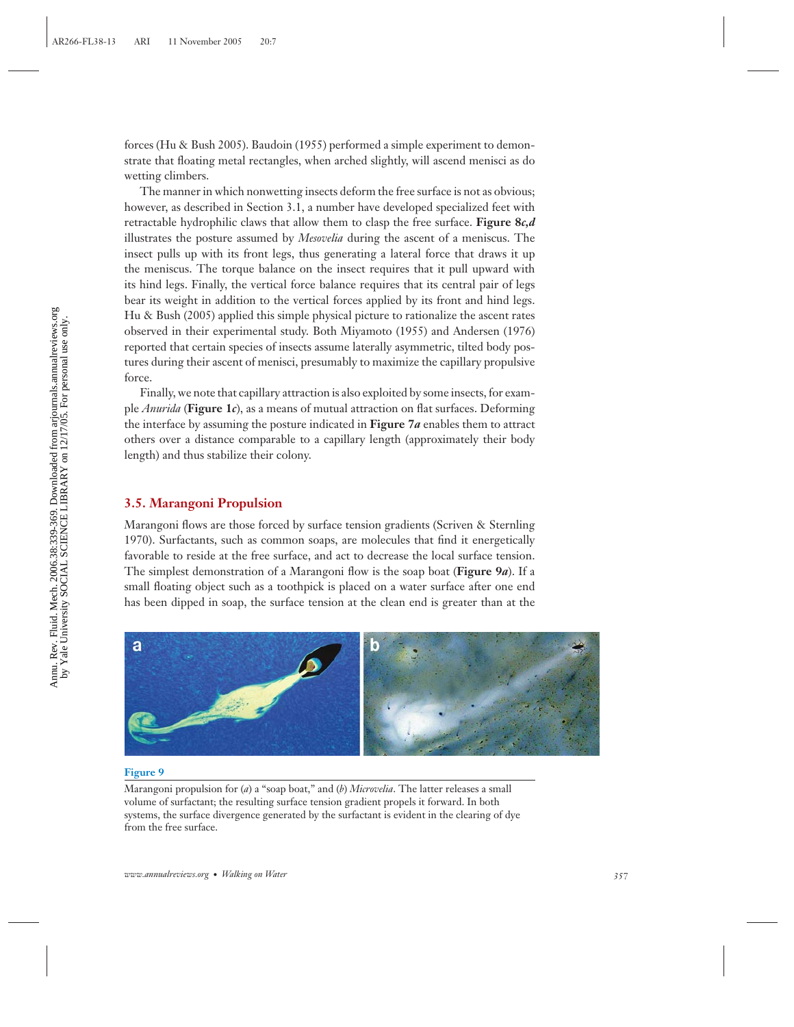forces (Hu & Bush 2005). Baudoin (1955) performed a simple experiment to demonstrate that floating metal rectangles, when arched slightly, will ascend menisci as do wetting climbers.

The manner in which nonwetting insects deform the free surface is not as obvious; however, as described in Section 3.1, a number have developed specialized feet with retractable hydrophilic claws that allow them to clasp the free surface. **Figure 8***c,d* illustrates the posture assumed by *Mesovelia* during the ascent of a meniscus. The insect pulls up with its front legs, thus generating a lateral force that draws it up the meniscus. The torque balance on the insect requires that it pull upward with its hind legs. Finally, the vertical force balance requires that its central pair of legs bear its weight in addition to the vertical forces applied by its front and hind legs. Hu & Bush (2005) applied this simple physical picture to rationalize the ascent rates observed in their experimental study. Both Miyamoto (1955) and Andersen (1976) reported that certain species of insects assume laterally asymmetric, tilted body postures during their ascent of menisci, presumably to maximize the capillary propulsive force.

Finally, we note that capillary attraction is also exploited by some insects, for example *Anurida* (**Figure 1***c*), as a means of mutual attraction on flat surfaces. Deforming the interface by assuming the posture indicated in **Figure 7***a* enables them to attract others over a distance comparable to a capillary length (approximately their body length) and thus stabilize their colony.

# **3.5. Marangoni Propulsion**

Marangoni flows are those forced by surface tension gradients (Scriven & Sternling 1970). Surfactants, such as common soaps, are molecules that find it energetically favorable to reside at the free surface, and act to decrease the local surface tension. The simplest demonstration of a Marangoni flow is the soap boat (**Figure 9***a*). If a small floating object such as a toothpick is placed on a water surface after one end has been dipped in soap, the surface tension at the clean end is greater than at the



## **Figure 9**

Marangoni propulsion for (*a*) a "soap boat," and (*b*) *Microvelia*. The latter releases a small volume of surfactant; the resulting surface tension gradient propels it forward. In both systems, the surface divergence generated by the surfactant is evident in the clearing of dye from the free surface.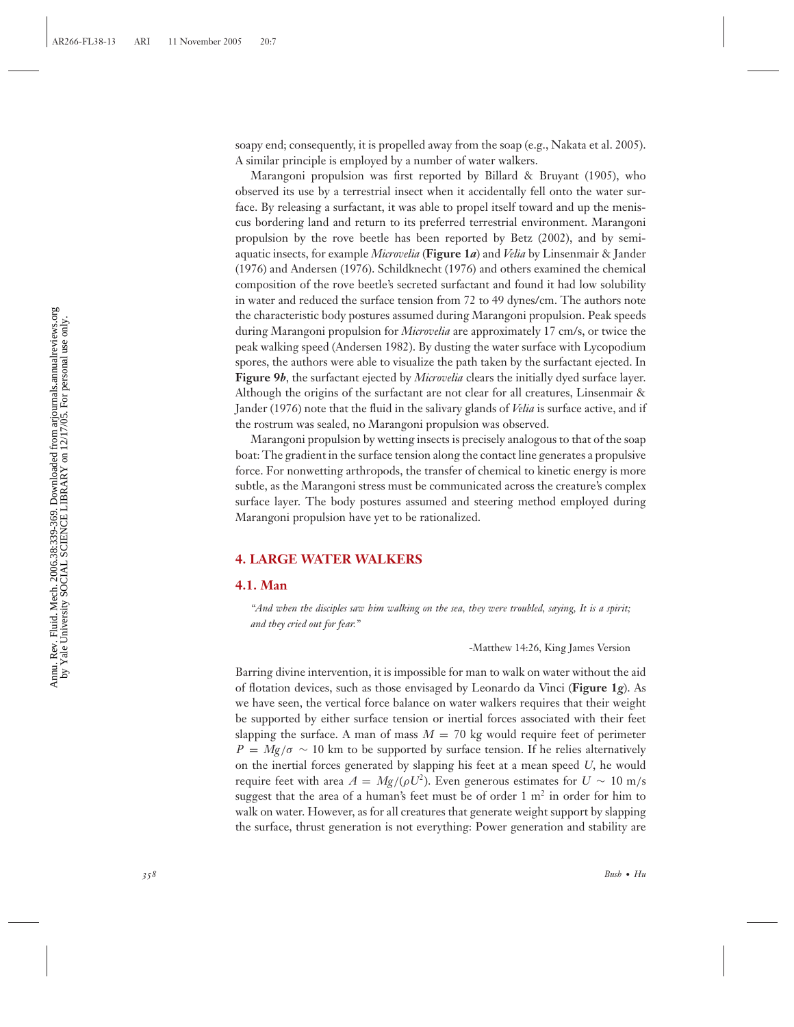soapy end; consequently, it is propelled away from the soap (e.g., Nakata et al. 2005). A similar principle is employed by a number of water walkers.

Marangoni propulsion was first reported by Billard & Bruyant (1905), who observed its use by a terrestrial insect when it accidentally fell onto the water surface. By releasing a surfactant, it was able to propel itself toward and up the meniscus bordering land and return to its preferred terrestrial environment. Marangoni propulsion by the rove beetle has been reported by Betz (2002), and by semiaquatic insects, for example *Microvelia* (**Figure 1***a*) and *Velia* by Linsenmair & Jander (1976) and Andersen (1976). Schildknecht (1976) and others examined the chemical composition of the rove beetle's secreted surfactant and found it had low solubility in water and reduced the surface tension from 72 to 49 dynes/cm. The authors note the characteristic body postures assumed during Marangoni propulsion. Peak speeds during Marangoni propulsion for *Microvelia* are approximately 17 cm/s, or twice the peak walking speed (Andersen 1982). By dusting the water surface with Lycopodium spores, the authors were able to visualize the path taken by the surfactant ejected. In **Figure 9***b*, the surfactant ejected by *Microvelia* clears the initially dyed surface layer. Although the origins of the surfactant are not clear for all creatures, Linsenmair & Jander (1976) note that the fluid in the salivary glands of *Velia* is surface active, and if the rostrum was sealed, no Marangoni propulsion was observed.

Marangoni propulsion by wetting insects is precisely analogous to that of the soap boat: The gradient in the surface tension along the contact line generates a propulsive force. For nonwetting arthropods, the transfer of chemical to kinetic energy is more subtle, as the Marangoni stress must be communicated across the creature's complex surface layer. The body postures assumed and steering method employed during Marangoni propulsion have yet to be rationalized.

# **4. LARGE WATER WALKERS**

#### **4.1. Man**

*"And when the disciples saw him walking on the sea, they were troubled, saying, It is a spirit; and they cried out for fear."*

-Matthew 14:26, King James Version

Barring divine intervention, it is impossible for man to walk on water without the aid of flotation devices, such as those envisaged by Leonardo da Vinci (**Figure 1***g*). As we have seen, the vertical force balance on water walkers requires that their weight be supported by either surface tension or inertial forces associated with their feet slapping the surface. A man of mass  $M = 70$  kg would require feet of perimeter  $P = Mg/\sigma \sim 10$  km to be supported by surface tension. If he relies alternatively on the inertial forces generated by slapping his feet at a mean speed *U*, he would require feet with area  $A = Mg/(\rho U^2)$ . Even generous estimates for  $U \sim 10 \text{ m/s}$ suggest that the area of a human's feet must be of order  $1 \text{ m}^2$  in order for him to walk on water. However, as for all creatures that generate weight support by slapping the surface, thrust generation is not everything: Power generation and stability are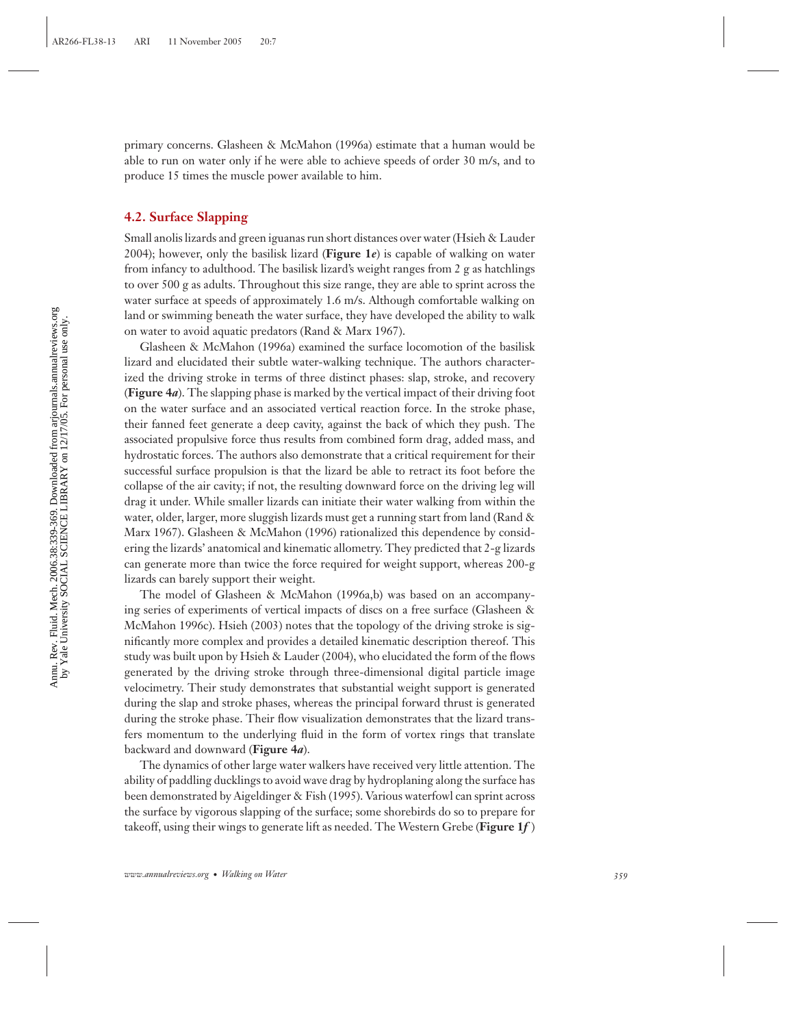primary concerns. Glasheen & McMahon (1996a) estimate that a human would be able to run on water only if he were able to achieve speeds of order 30 m/s, and to produce 15 times the muscle power available to him.

## **4.2. Surface Slapping**

Small anolis lizards and green iguanas run short distances over water (Hsieh & Lauder 2004); however, only the basilisk lizard (**Figure 1***e*) is capable of walking on water from infancy to adulthood. The basilisk lizard's weight ranges from 2 g as hatchlings to over 500 g as adults. Throughout this size range, they are able to sprint across the water surface at speeds of approximately 1.6 m/s. Although comfortable walking on land or swimming beneath the water surface, they have developed the ability to walk on water to avoid aquatic predators (Rand & Marx 1967).

Glasheen & McMahon (1996a) examined the surface locomotion of the basilisk lizard and elucidated their subtle water-walking technique. The authors characterized the driving stroke in terms of three distinct phases: slap, stroke, and recovery (**Figure 4***a*). The slapping phase is marked by the vertical impact of their driving foot on the water surface and an associated vertical reaction force. In the stroke phase, their fanned feet generate a deep cavity, against the back of which they push. The associated propulsive force thus results from combined form drag, added mass, and hydrostatic forces. The authors also demonstrate that a critical requirement for their successful surface propulsion is that the lizard be able to retract its foot before the collapse of the air cavity; if not, the resulting downward force on the driving leg will drag it under. While smaller lizards can initiate their water walking from within the water, older, larger, more sluggish lizards must get a running start from land (Rand & Marx 1967). Glasheen & McMahon (1996) rationalized this dependence by considering the lizards' anatomical and kinematic allometry. They predicted that 2-g lizards can generate more than twice the force required for weight support, whereas 200-g lizards can barely support their weight.

The model of Glasheen & McMahon (1996a,b) was based on an accompanying series of experiments of vertical impacts of discs on a free surface (Glasheen & McMahon 1996c). Hsieh (2003) notes that the topology of the driving stroke is significantly more complex and provides a detailed kinematic description thereof. This study was built upon by Hsieh & Lauder (2004), who elucidated the form of the flows generated by the driving stroke through three-dimensional digital particle image velocimetry. Their study demonstrates that substantial weight support is generated during the slap and stroke phases, whereas the principal forward thrust is generated during the stroke phase. Their flow visualization demonstrates that the lizard transfers momentum to the underlying fluid in the form of vortex rings that translate backward and downward (**Figure 4***a*).

The dynamics of other large water walkers have received very little attention. The ability of paddling ducklings to avoid wave drag by hydroplaning along the surface has been demonstrated by Aigeldinger & Fish (1995). Various waterfowl can sprint across the surface by vigorous slapping of the surface; some shorebirds do so to prepare for takeoff, using their wings to generate lift as needed. The Western Grebe (**Figure 1***f* )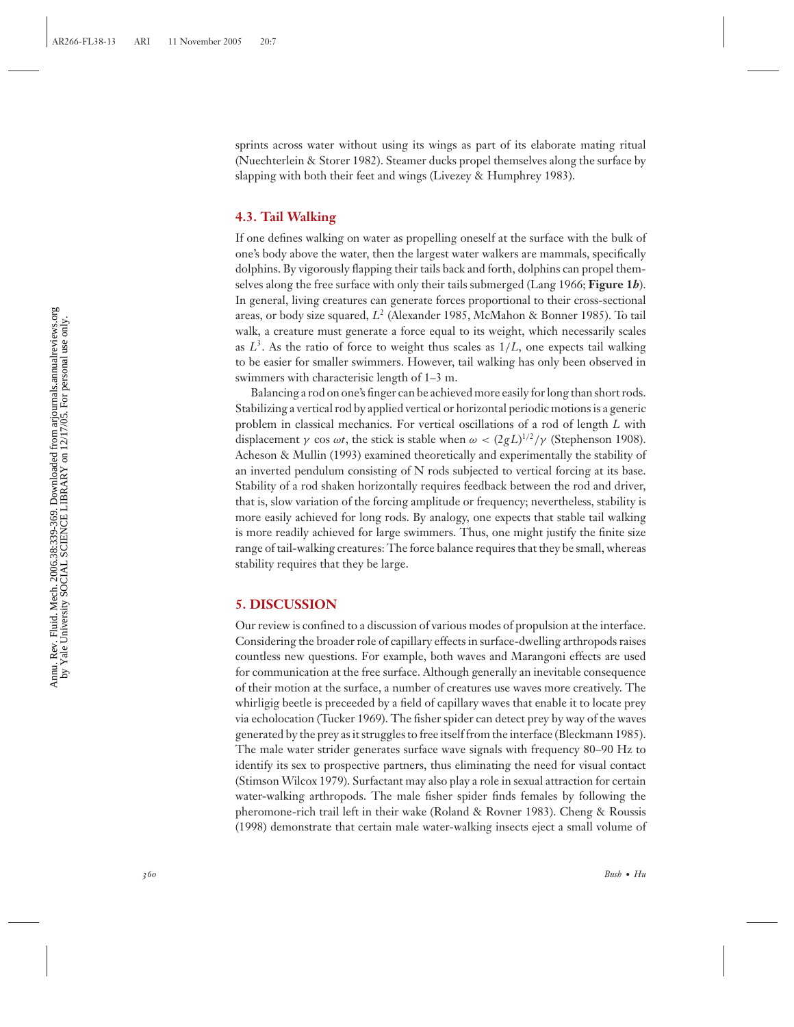sprints across water without using its wings as part of its elaborate mating ritual (Nuechterlein & Storer 1982). Steamer ducks propel themselves along the surface by slapping with both their feet and wings (Livezey & Humphrey 1983).

### **4.3. Tail Walking**

If one defines walking on water as propelling oneself at the surface with the bulk of one's body above the water, then the largest water walkers are mammals, specifically dolphins. By vigorously flapping their tails back and forth, dolphins can propel themselves along the free surface with only their tails submerged (Lang 1966; **Figure 1***h*). In general, living creatures can generate forces proportional to their cross-sectional areas, or body size squared, *L*<sup>2</sup> (Alexander 1985, McMahon & Bonner 1985). To tail walk, a creature must generate a force equal to its weight, which necessarily scales as  $L^3$ . As the ratio of force to weight thus scales as  $1/L$ , one expects tail walking to be easier for smaller swimmers. However, tail walking has only been observed in swimmers with characterisic length of 1–3 m.

Balancing a rod on one's finger can be achieved more easily for long than short rods. Stabilizing a vertical rod by applied vertical or horizontal periodic motions is a generic problem in classical mechanics. For vertical oscillations of a rod of length *L* with displacement  $\gamma$  cos  $\omega t$ , the stick is stable when  $\omega < (2gL)^{1/2}/\gamma$  (Stephenson 1908). Acheson & Mullin (1993) examined theoretically and experimentally the stability of an inverted pendulum consisting of N rods subjected to vertical forcing at its base. Stability of a rod shaken horizontally requires feedback between the rod and driver, that is, slow variation of the forcing amplitude or frequency; nevertheless, stability is more easily achieved for long rods. By analogy, one expects that stable tail walking is more readily achieved for large swimmers. Thus, one might justify the finite size range of tail-walking creatures: The force balance requires that they be small, whereas stability requires that they be large.

# **5. DISCUSSION**

Our review is confined to a discussion of various modes of propulsion at the interface. Considering the broader role of capillary effects in surface-dwelling arthropods raises countless new questions. For example, both waves and Marangoni effects are used for communication at the free surface. Although generally an inevitable consequence of their motion at the surface, a number of creatures use waves more creatively. The whirligig beetle is preceeded by a field of capillary waves that enable it to locate prey via echolocation (Tucker 1969). The fisher spider can detect prey by way of the waves generated by the prey as it struggles to free itself from the interface (Bleckmann 1985). The male water strider generates surface wave signals with frequency 80–90 Hz to identify its sex to prospective partners, thus eliminating the need for visual contact (Stimson Wilcox 1979). Surfactant may also play a role in sexual attraction for certain water-walking arthropods. The male fisher spider finds females by following the pheromone-rich trail left in their wake (Roland & Rovner 1983). Cheng & Roussis (1998) demonstrate that certain male water-walking insects eject a small volume of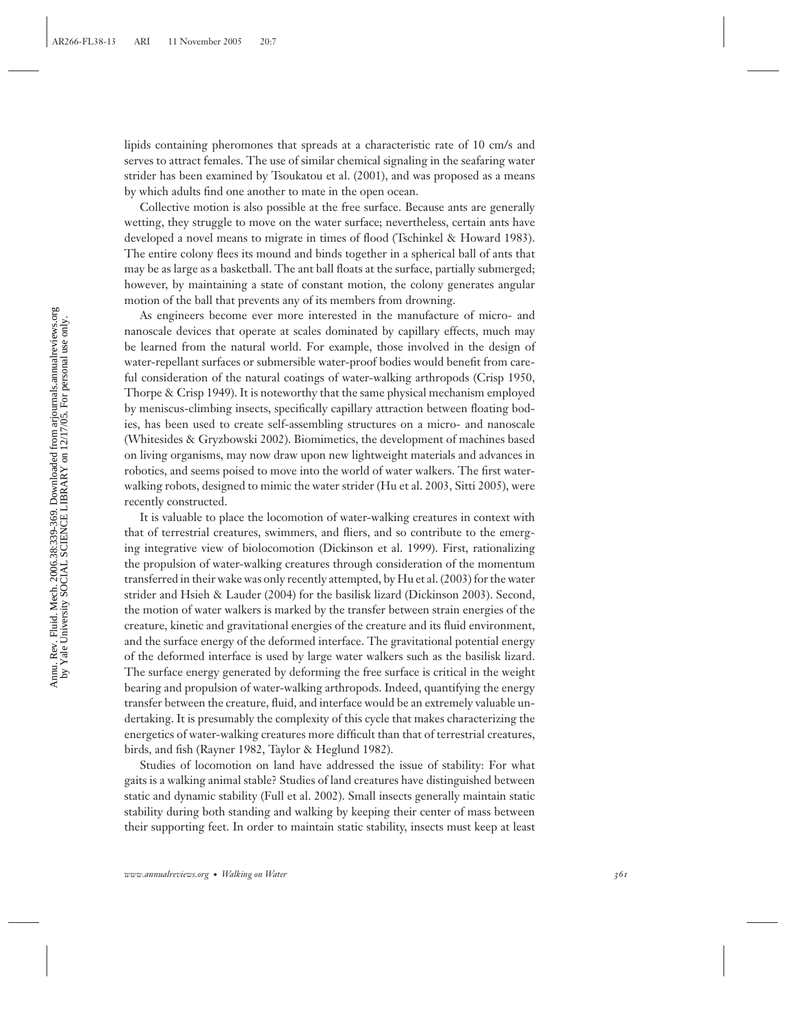lipids containing pheromones that spreads at a characteristic rate of 10 cm/s and serves to attract females. The use of similar chemical signaling in the seafaring water strider has been examined by Tsoukatou et al. (2001), and was proposed as a means by which adults find one another to mate in the open ocean.

Collective motion is also possible at the free surface. Because ants are generally wetting, they struggle to move on the water surface; nevertheless, certain ants have developed a novel means to migrate in times of flood (Tschinkel & Howard 1983). The entire colony flees its mound and binds together in a spherical ball of ants that may be as large as a basketball. The ant ball floats at the surface, partially submerged; however, by maintaining a state of constant motion, the colony generates angular motion of the ball that prevents any of its members from drowning.

As engineers become ever more interested in the manufacture of micro- and nanoscale devices that operate at scales dominated by capillary effects, much may be learned from the natural world. For example, those involved in the design of water-repellant surfaces or submersible water-proof bodies would benefit from careful consideration of the natural coatings of water-walking arthropods (Crisp 1950, Thorpe & Crisp 1949). It is noteworthy that the same physical mechanism employed by meniscus-climbing insects, specifically capillary attraction between floating bodies, has been used to create self-assembling structures on a micro- and nanoscale (Whitesides & Gryzbowski 2002). Biomimetics, the development of machines based on living organisms, may now draw upon new lightweight materials and advances in robotics, and seems poised to move into the world of water walkers. The first waterwalking robots, designed to mimic the water strider (Hu et al. 2003, Sitti 2005), were recently constructed.

It is valuable to place the locomotion of water-walking creatures in context with that of terrestrial creatures, swimmers, and fliers, and so contribute to the emerging integrative view of biolocomotion (Dickinson et al. 1999). First, rationalizing the propulsion of water-walking creatures through consideration of the momentum transferred in their wake was only recently attempted, by Hu et al. (2003) for the water strider and Hsieh & Lauder (2004) for the basilisk lizard (Dickinson 2003). Second, the motion of water walkers is marked by the transfer between strain energies of the creature, kinetic and gravitational energies of the creature and its fluid environment, and the surface energy of the deformed interface. The gravitational potential energy of the deformed interface is used by large water walkers such as the basilisk lizard. The surface energy generated by deforming the free surface is critical in the weight bearing and propulsion of water-walking arthropods. Indeed, quantifying the energy transfer between the creature, fluid, and interface would be an extremely valuable undertaking. It is presumably the complexity of this cycle that makes characterizing the energetics of water-walking creatures more difficult than that of terrestrial creatures, birds, and fish (Rayner 1982, Taylor & Heglund 1982).

Studies of locomotion on land have addressed the issue of stability: For what gaits is a walking animal stable? Studies of land creatures have distinguished between static and dynamic stability (Full et al. 2002). Small insects generally maintain static stability during both standing and walking by keeping their center of mass between their supporting feet. In order to maintain static stability, insects must keep at least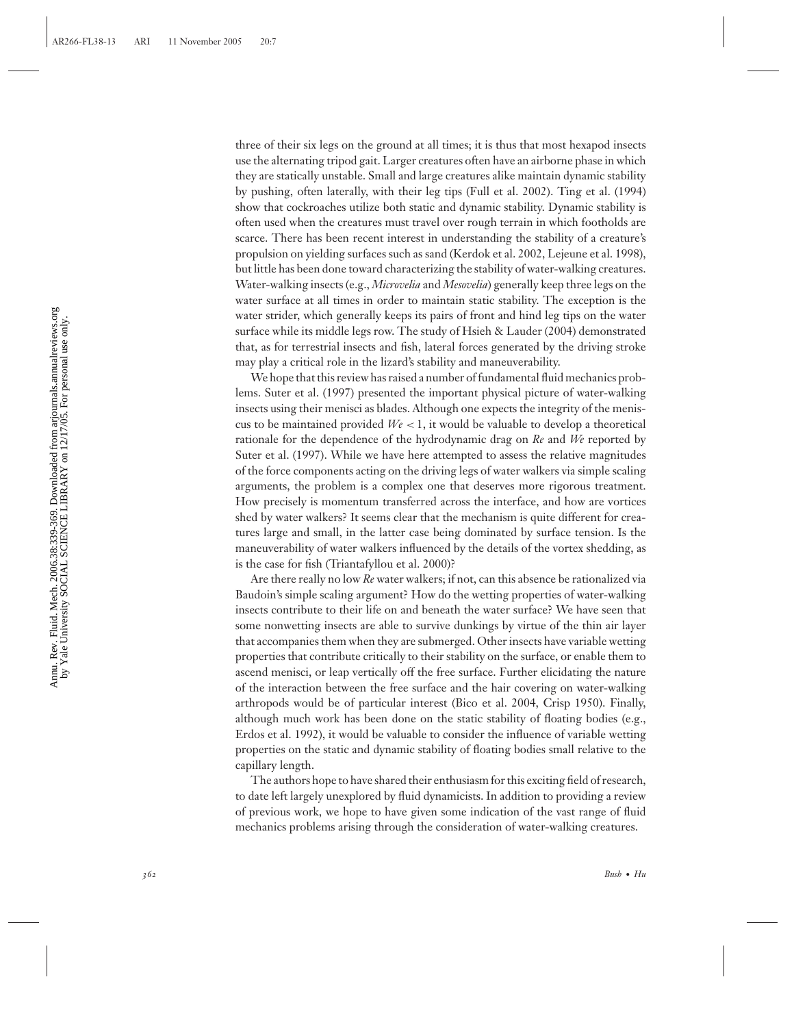three of their six legs on the ground at all times; it is thus that most hexapod insects use the alternating tripod gait. Larger creatures often have an airborne phase in which they are statically unstable. Small and large creatures alike maintain dynamic stability by pushing, often laterally, with their leg tips (Full et al. 2002). Ting et al. (1994) show that cockroaches utilize both static and dynamic stability. Dynamic stability is often used when the creatures must travel over rough terrain in which footholds are scarce. There has been recent interest in understanding the stability of a creature's propulsion on yielding surfaces such as sand (Kerdok et al. 2002, Lejeune et al. 1998), but little has been done toward characterizing the stability of water-walking creatures. Water-walking insects (e.g., *Microvelia* and *Mesovelia*) generally keep three legs on the water surface at all times in order to maintain static stability. The exception is the water strider, which generally keeps its pairs of front and hind leg tips on the water surface while its middle legs row. The study of Hsieh & Lauder (2004) demonstrated that, as for terrestrial insects and fish, lateral forces generated by the driving stroke may play a critical role in the lizard's stability and maneuverability.

We hope that this review has raised a number of fundamental fluid mechanics problems. Suter et al. (1997) presented the important physical picture of water-walking insects using their menisci as blades. Although one expects the integrity of the meniscus to be maintained provided *We* < 1, it would be valuable to develop a theoretical rationale for the dependence of the hydrodynamic drag on *Re* and *We* reported by Suter et al. (1997). While we have here attempted to assess the relative magnitudes of the force components acting on the driving legs of water walkers via simple scaling arguments, the problem is a complex one that deserves more rigorous treatment. How precisely is momentum transferred across the interface, and how are vortices shed by water walkers? It seems clear that the mechanism is quite different for creatures large and small, in the latter case being dominated by surface tension. Is the maneuverability of water walkers influenced by the details of the vortex shedding, as is the case for fish (Triantafyllou et al. 2000)?

Are there really no low *Re* water walkers; if not, can this absence be rationalized via Baudoin's simple scaling argument? How do the wetting properties of water-walking insects contribute to their life on and beneath the water surface? We have seen that some nonwetting insects are able to survive dunkings by virtue of the thin air layer that accompanies them when they are submerged. Other insects have variable wetting properties that contribute critically to their stability on the surface, or enable them to ascend menisci, or leap vertically off the free surface. Further elicidating the nature of the interaction between the free surface and the hair covering on water-walking arthropods would be of particular interest (Bico et al. 2004, Crisp 1950). Finally, although much work has been done on the static stability of floating bodies (e.g., Erdos et al. 1992), it would be valuable to consider the influence of variable wetting properties on the static and dynamic stability of floating bodies small relative to the capillary length.

The authors hope to have shared their enthusiasm for this exciting field of research, to date left largely unexplored by fluid dynamicists. In addition to providing a review of previous work, we hope to have given some indication of the vast range of fluid mechanics problems arising through the consideration of water-walking creatures.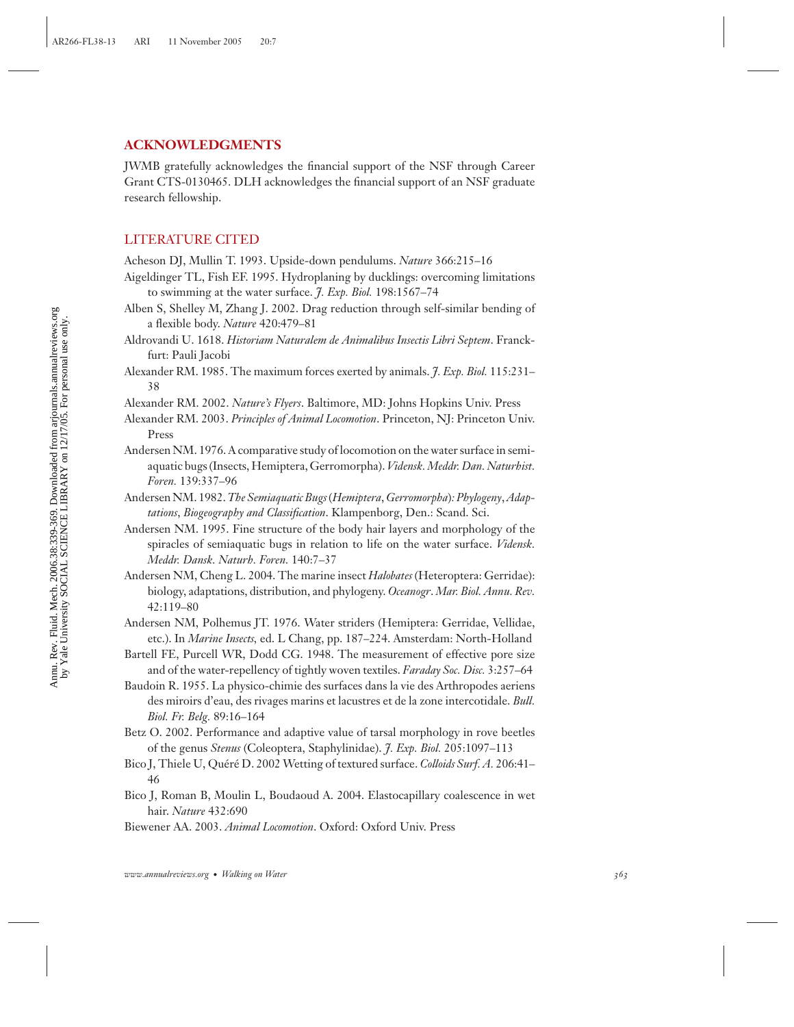# **ACKNOWLEDGMENTS**

JWMB gratefully acknowledges the financial support of the NSF through Career Grant CTS-0130465. DLH acknowledges the financial support of an NSF graduate research fellowship.

# LITERATURE CITED

Acheson DJ, Mullin T. 1993. Upside-down pendulums. *Nature* 366:215–16

- Aigeldinger TL, Fish EF. 1995. Hydroplaning by ducklings: overcoming limitations to swimming at the water surface. *J. Exp. Biol.* 198:1567–74
- Alben S, Shelley M, Zhang J. 2002. Drag reduction through self-similar bending of a flexible body. *Nature* 420:479–81
- Aldrovandi U. 1618. *Historiam Naturalem de Animalibus Insectis Libri Septem*. Franckfurt: Pauli Jacobi
- Alexander RM. 1985. The maximum forces exerted by animals. *J. Exp. Biol.* 115:231– 38
- Alexander RM. 2002. *Nature's Flyers*. Baltimore, MD: Johns Hopkins Univ. Press
- Alexander RM. 2003. *Principles of Animal Locomotion*. Princeton, NJ: Princeton Univ. Press
- Andersen NM. 1976. A comparative study of locomotion on the water surface in semiaquatic bugs (Insects, Hemiptera, Gerromorpha).*Vidensk. Meddr. Dan. Naturhist. Foren.* 139:337–96
- Andersen NM. 1982.*The Semiaquatic Bugs*(*Hemiptera*, *Gerromorpha*)*: Phylogeny*,*Adaptations*, *Biogeography and Classification*. Klampenborg, Den.: Scand. Sci.
- Andersen NM. 1995. Fine structure of the body hair layers and morphology of the spiracles of semiaquatic bugs in relation to life on the water surface. *Vidensk. Meddr. Dansk. Naturh. Foren.* 140:7–37
- Andersen NM, Cheng L. 2004. The marine insect *Halobates* (Heteroptera: Gerridae): biology, adaptations, distribution, and phylogeny. *Oceanogr*. *Mar. Biol. Annu. Rev.* 42:119–80
- Andersen NM, Polhemus JT. 1976. Water striders (Hemiptera: Gerridae, Vellidae, etc.). In *Marine Insects,* ed. L Chang, pp. 187–224. Amsterdam: North-Holland
- Bartell FE, Purcell WR, Dodd CG. 1948. The measurement of effective pore size and of the water-repellency of tightly woven textiles. *Faraday Soc. Disc.* 3:257–64
- Baudoin R. 1955. La physico-chimie des surfaces dans la vie des Arthropodes aeriens des miroirs d'eau, des rivages marins et lacustres et de la zone intercotidale. *Bull. Biol. Fr. Belg.* 89:16–164
- Betz O. 2002. Performance and adaptive value of tarsal morphology in rove beetles of the genus *Stenus* (Coleoptera, Staphylinidae). *J. Exp. Biol.* 205:1097–113
- Bico J, Thiele U, Quéré D. 2002 Wetting of textured surface. *Colloids Surf. A.* 206:41– 46
- Bico J, Roman B, Moulin L, Boudaoud A. 2004. Elastocapillary coalescence in wet hair. *Nature* 432:690

Biewener AA. 2003. *Animal Locomotion*. Oxford: Oxford Univ. Press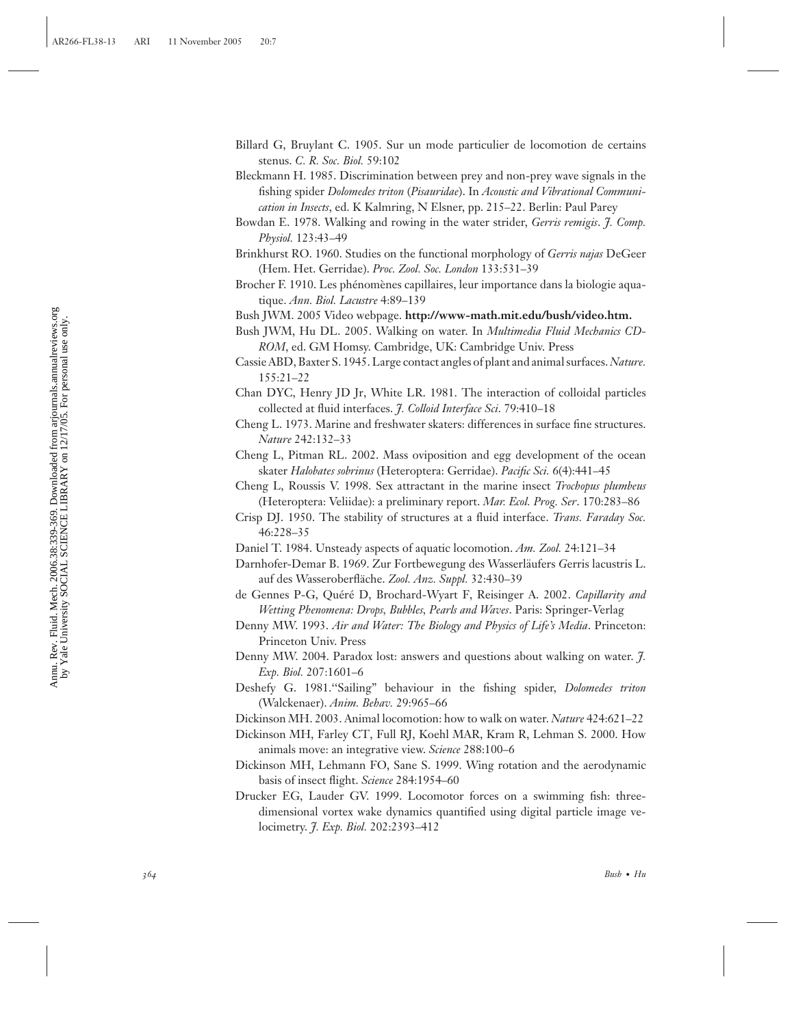- Billard G, Bruylant C. 1905. Sur un mode particulier de locomotion de certains stenus. *C. R. Soc. Biol.* 59:102
- Bleckmann H. 1985. Discrimination between prey and non-prey wave signals in the fishing spider *Dolomedes triton* (*Pisauridae*). In *Acoustic and Vibrational Communication in Insects*, ed. K Kalmring, N Elsner, pp. 215–22. Berlin: Paul Parey
- Bowdan E. 1978. Walking and rowing in the water strider, *Gerris remigis*. *J. Comp. Physiol.* 123:43–49
- Brinkhurst RO. 1960. Studies on the functional morphology of *Gerris najas* DeGeer (Hem. Het. Gerridae). *Proc. Zool. Soc. London* 133:531–39
- Brocher F. 1910. Les phénomènes capillaires, leur importance dans la biologie aquatique. *Ann. Biol. Lacustre* 4:89–139
- Bush JWM. 2005 Video webpage. **http://www-math.mit.edu/bush/video.htm.**
- Bush JWM, Hu DL. 2005. Walking on water. In *Multimedia Fluid Mechanics CD-ROM*, ed. GM Homsy. Cambridge, UK: Cambridge Univ. Press
- Cassie ABD, Baxter S. 1945. Large contact angles of plant and animal surfaces. *Nature.* 155:21–22
- Chan DYC, Henry JD Jr, White LR. 1981. The interaction of colloidal particles collected at fluid interfaces. *J. Colloid Interface Sci*. 79:410–18
- Cheng L. 1973. Marine and freshwater skaters: differences in surface fine structures. *Nature* 242:132–33
- Cheng L, Pitman RL. 2002. Mass oviposition and egg development of the ocean skater *Halobates sobrinus* (Heteroptera: Gerridae). *Pacific Sci.* 6(4):441–45
- Cheng L, Roussis V. 1998. Sex attractant in the marine insect *Trochopus plumbeus* (Heteroptera: Veliidae): a preliminary report. *Mar. Ecol. Prog. Ser*. 170:283–86
- Crisp DJ. 1950. The stability of structures at a fluid interface. *Trans. Faraday Soc.* 46:228–35
- Daniel T. 1984. Unsteady aspects of aquatic locomotion. *Am. Zool.* 24:121–34
- Darnhofer-Demar B. 1969. Zur Fortbewegung des Wasserläufers Gerris lacustris L. auf des Wasseroberfläche. Zool. Anz. Suppl. 32:430-39
- de Gennes P-G, Quéré D, Brochard-Wyart F, Reisinger A. 2002. *Capillarity and Wetting Phenomena: Drops, Bubbles, Pearls and Waves*. Paris: Springer-Verlag
- Denny MW. 1993. *Air and Water: The Biology and Physics of Life's Media*. Princeton: Princeton Univ. Press
- Denny MW. 2004. Paradox lost: answers and questions about walking on water. *J. Exp. Biol.* 207:1601–6
- Deshefy G. 1981.''Sailing" behaviour in the fishing spider, *Dolomedes triton* (Walckenaer). *Anim. Behav.* 29:965–66
- Dickinson MH. 2003. Animal locomotion: how to walk on water. *Nature* 424:621–22
- Dickinson MH, Farley CT, Full RJ, Koehl MAR, Kram R, Lehman S. 2000. How animals move: an integrative view. *Science* 288:100–6
- Dickinson MH, Lehmann FO, Sane S. 1999. Wing rotation and the aerodynamic basis of insect flight. *Science* 284:1954–60
- Drucker EG, Lauder GV. 1999. Locomotor forces on a swimming fish: threedimensional vortex wake dynamics quantified using digital particle image velocimetry. *J. Exp. Biol.* 202:2393–412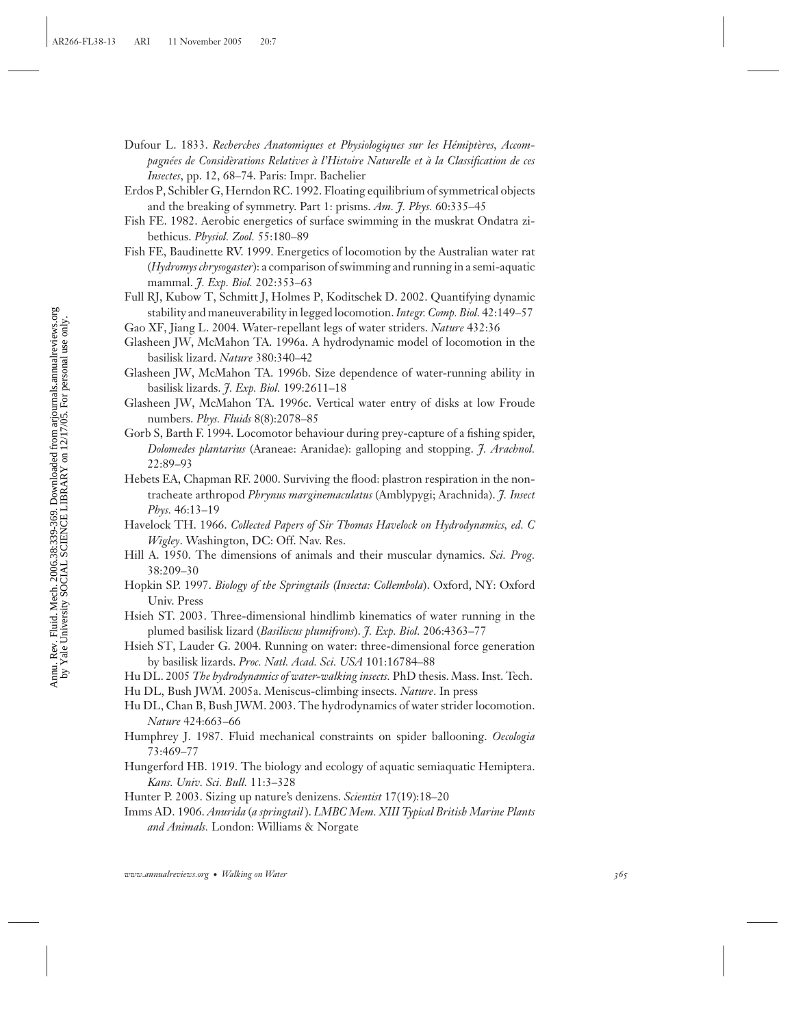- Dufour L. 1833. Recherches Anatomiques et Physiologiques sur les Hémiptères, Accom*pagn´ees de Consid`erations Relatives `a l'Histoire Naturelle et `a la Classification de ces Insectes*, pp. 12, 68–74. Paris: Impr. Bachelier
- Erdos P, Schibler G, Herndon RC. 1992. Floating equilibrium of symmetrical objects and the breaking of symmetry. Part 1: prisms. *Am. J. Phys.* 60:335–45
- Fish FE. 1982. Aerobic energetics of surface swimming in the muskrat Ondatra zibethicus. *Physiol. Zool.* 55:180–89
- Fish FE, Baudinette RV. 1999. Energetics of locomotion by the Australian water rat (*Hydromys chrysogaster*): a comparison of swimming and running in a semi-aquatic mammal. *J. Exp. Biol.* 202:353–63
- Full RJ, Kubow T, Schmitt J, Holmes P, Koditschek D. 2002. Quantifying dynamic stability and maneuverability in legged locomotion.*Integr. Comp. Biol.* 42:149–57
- Gao XF, Jiang L. 2004. Water-repellant legs of water striders. *Nature* 432:36
- Glasheen JW, McMahon TA. 1996a. A hydrodynamic model of locomotion in the basilisk lizard. *Nature* 380:340–42
- Glasheen JW, McMahon TA. 1996b. Size dependence of water-running ability in basilisk lizards. *J. Exp. Biol.* 199:2611–18
- Glasheen JW, McMahon TA. 1996c. Vertical water entry of disks at low Froude numbers. *Phys. Fluids* 8(8):2078–85
- Gorb S, Barth F. 1994. Locomotor behaviour during prey-capture of a fishing spider, *Dolomedes plantarius* (Araneae: Aranidae): galloping and stopping. *J. Arachnol.* 22:89–93
- Hebets EA, Chapman RF. 2000. Surviving the flood: plastron respiration in the nontracheate arthropod *Phrynus marginemaculatus* (Amblypygi; Arachnida). *J. Insect Phys.* 46:13–19
- Havelock TH. 1966. *Collected Papers of Sir Thomas Havelock on Hydrodynamics, ed. C Wigley*. Washington, DC: Off. Nav. Res.
- Hill A. 1950. The dimensions of animals and their muscular dynamics. *Sci. Prog.* 38:209–30
- Hopkin SP. 1997. *Biology of the Springtails (Insecta: Collembola*). Oxford, NY: Oxford Univ. Press
- Hsieh ST. 2003. Three-dimensional hindlimb kinematics of water running in the plumed basilisk lizard (*Basiliscus plumifrons*). *J. Exp. Biol.* 206:4363–77
- Hsieh ST, Lauder G. 2004. Running on water: three-dimensional force generation by basilisk lizards. *Proc. Natl. Acad. Sci. USA* 101:16784–88
- Hu DL. 2005 *The hydrodynamics of water-walking insects.* PhD thesis. Mass. Inst. Tech.
- Hu DL, Bush JWM. 2005a. Meniscus-climbing insects. *Nature*. In press
- Hu DL, Chan B, Bush JWM. 2003. The hydrodynamics of water strider locomotion. *Nature* 424:663–66
- Humphrey J. 1987. Fluid mechanical constraints on spider ballooning. *Oecologia* 73:469–77
- Hungerford HB. 1919. The biology and ecology of aquatic semiaquatic Hemiptera. *Kans. Univ. Sci. Bull.* 11:3–328
- Hunter P. 2003. Sizing up nature's denizens. *Scientist* 17(19):18–20
- Imms AD. 1906. *Anurida* (*a springtail* ). *LMBC Mem. XIII Typical British Marine Plants and Animals.* London: Williams & Norgate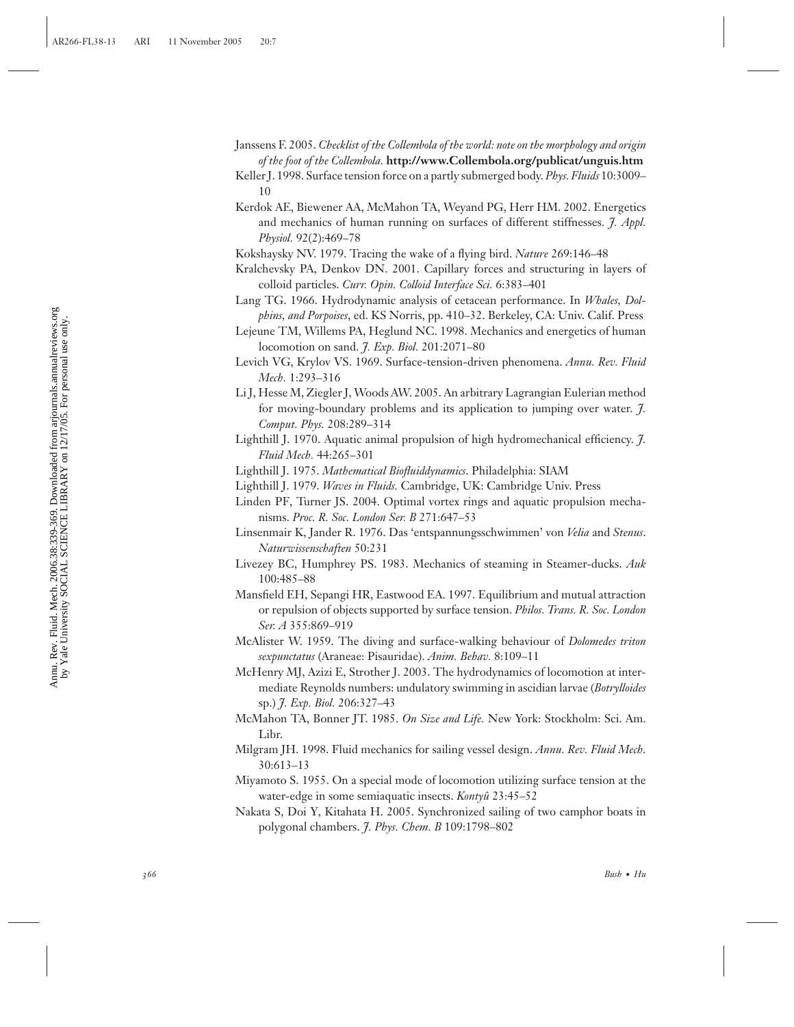- Janssens F. 2005. *Checklist of the Collembola of the world: note on the morphology and origin of the foot of the Collembola.* **http://www.Collembola.org/publicat/unguis.htm**
- Keller J. 1998. Surface tension force on a partly submerged body. *Phys. Fluids* 10:3009– 10
- Kerdok AE, Biewener AA, McMahon TA, Weyand PG, Herr HM. 2002. Energetics and mechanics of human running on surfaces of different stiffnesses. *J. Appl. Physiol.* 92(2):469–78
- Kokshaysky NV. 1979. Tracing the wake of a flying bird. *Nature* 269:146–48
- Kralchevsky PA, Denkov DN. 2001. Capillary forces and structuring in layers of colloid particles. *Curr. Opin. Colloid Interface Sci.* 6:383–401
- Lang TG. 1966. Hydrodynamic analysis of cetacean performance. In *Whales, Dolphins, and Porpoises*, ed. KS Norris, pp. 410–32. Berkeley, CA: Univ. Calif. Press
- Lejeune TM, Willems PA, Heglund NC. 1998. Mechanics and energetics of human locomotion on sand. *J. Exp. Biol.* 201:2071–80
- Levich VG, Krylov VS. 1969. Surface-tension-driven phenomena. *Annu. Rev. Fluid Mech.* 1:293–316
- Li J, Hesse M, Ziegler J, Woods AW. 2005. An arbitrary Lagrangian Eulerian method for moving-boundary problems and its application to jumping over water. *J. Comput. Phys.* 208:289–314
- Lighthill J. 1970. Aquatic animal propulsion of high hydromechanical efficiency. *J. Fluid Mech.* 44:265–301
- Lighthill J. 1975. *Mathematical Biofluiddynamics*. Philadelphia: SIAM
- Lighthill J. 1979. *Waves in Fluids.* Cambridge, UK: Cambridge Univ. Press
- Linden PF, Turner JS. 2004. Optimal vortex rings and aquatic propulsion mechanisms. *Proc. R. Soc. London Ser. B* 271:647–53
- Linsenmair K, Jander R. 1976. Das 'entspannungsschwimmen' von *Velia* and *Stenus*. *Naturwissenschaften* 50:231
- Livezey BC, Humphrey PS. 1983. Mechanics of steaming in Steamer-ducks. *Auk* 100:485–88
- Mansfield EH, Sepangi HR, Eastwood EA. 1997. Equilibrium and mutual attraction or repulsion of objects supported by surface tension. *Philos. Trans. R. Soc. London Ser. A* 355:869–919
- McAlister W. 1959. The diving and surface-walking behaviour of *Dolomedes triton sexpunctatus* (Araneae: Pisauridae). *Anim. Behav.* 8:109–11
- McHenry MJ, Azizi E, Strother J. 2003. The hydrodynamics of locomotion at intermediate Reynolds numbers: undulatory swimming in ascidian larvae (*Botrylloides* sp.) *J. Exp. Biol.* 206:327–43
- McMahon TA, Bonner JT. 1985. *On Size and Life.* New York: Stockholm: Sci. Am. Libr.
- Milgram JH. 1998. Fluid mechanics for sailing vessel design. *Annu. Rev. Fluid Mech.* 30:613–13
- Miyamoto S. 1955. On a special mode of locomotion utilizing surface tension at the water-edge in some semiaquatic insects. *Kontyû* 23:45–52
- Nakata S, Doi Y, Kitahata H. 2005. Synchronized sailing of two camphor boats in polygonal chambers. *J. Phys. Chem. B* 109:1798–802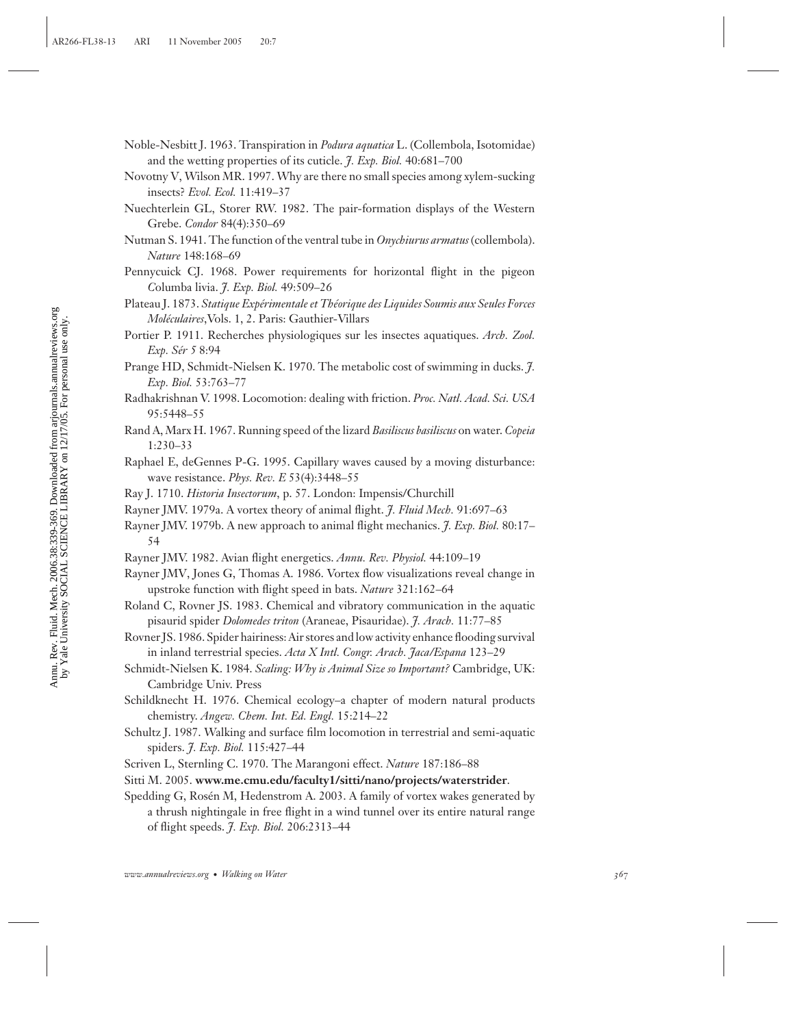- Noble-Nesbitt J. 1963. Transpiration in *Podura aquatica* L. (Collembola, Isotomidae) and the wetting properties of its cuticle. *J. Exp. Biol.* 40:681–700
- Novotny V, Wilson MR. 1997. Why are there no small species among xylem-sucking insects? *Evol. Ecol.* 11:419–37
- Nuechterlein GL, Storer RW. 1982. The pair-formation displays of the Western Grebe. *Condor* 84(4):350–69
- Nutman S. 1941. The function of the ventral tube in *Onychiurus armatus* (collembola). *Nature* 148:168–69
- Pennycuick CJ. 1968. Power requirements for horizontal flight in the pigeon *C*olumba livia. *J. Exp. Biol.* 49:509–26
- Plateau J. 1873. *Statique Exp´erimentale et Th´eorique des Liquides Soumis aux Seules Forces Mol´eculaires*,Vols. 1, 2. Paris: Gauthier-Villars
- Portier P. 1911. Recherches physiologiques sur les insectes aquatiques. *Arch. Zool. Exp.* Sér 5 8:94
- Prange HD, Schmidt-Nielsen K. 1970. The metabolic cost of swimming in ducks. *J. Exp. Biol.* 53:763–77
- Radhakrishnan V. 1998. Locomotion: dealing with friction. *Proc. Natl. Acad. Sci. USA* 95:5448–55
- Rand A, Marx H. 1967. Running speed of the lizard *Basiliscus basiliscus* on water. *Copeia* 1:230–33
- Raphael E, deGennes P-G. 1995. Capillary waves caused by a moving disturbance: wave resistance. *Phys. Rev. E* 53(4):3448–55
- Ray J. 1710. *Historia Insectorum*, p. 57. London: Impensis/Churchill
- Rayner JMV. 1979a. A vortex theory of animal flight. *J. Fluid Mech.* 91:697–63
- Rayner JMV. 1979b. A new approach to animal flight mechanics. *J. Exp. Biol.* 80:17– 54
- Rayner JMV. 1982. Avian flight energetics. *Annu. Rev. Physiol.* 44:109–19
- Rayner JMV, Jones G, Thomas A. 1986. Vortex flow visualizations reveal change in upstroke function with flight speed in bats. *Nature* 321:162–64
- Roland C, Rovner JS. 1983. Chemical and vibratory communication in the aquatic pisaurid spider *Dolomedes triton* (Araneae, Pisauridae). *J. Arach.* 11:77–85
- Rovner JS. 1986. Spider hairiness: Air stores and low activity enhance flooding survival in inland terrestrial species. *Acta X Intl. Congr. Arach. Jaca/Espana* 123–29
- Schmidt-Nielsen K. 1984. *Scaling: Why is Animal Size so Important?* Cambridge, UK: Cambridge Univ. Press
- Schildknecht H. 1976. Chemical ecology–a chapter of modern natural products chemistry. *Angew. Chem. Int. Ed. Engl.* 15:214–22
- Schultz J. 1987. Walking and surface film locomotion in terrestrial and semi-aquatic spiders. *J. Exp. Biol.* 115:427–44
- Scriven L, Sternling C. 1970. The Marangoni effect. *Nature* 187:186–88
- Sitti M. 2005. **www.me.cmu.edu/faculty1/sitti/nano/projects/waterstrider**.
- Spedding G, Rosén M, Hedenstrom A. 2003. A family of vortex wakes generated by a thrush nightingale in free flight in a wind tunnel over its entire natural range of flight speeds. *J. Exp. Biol.* 206:2313–44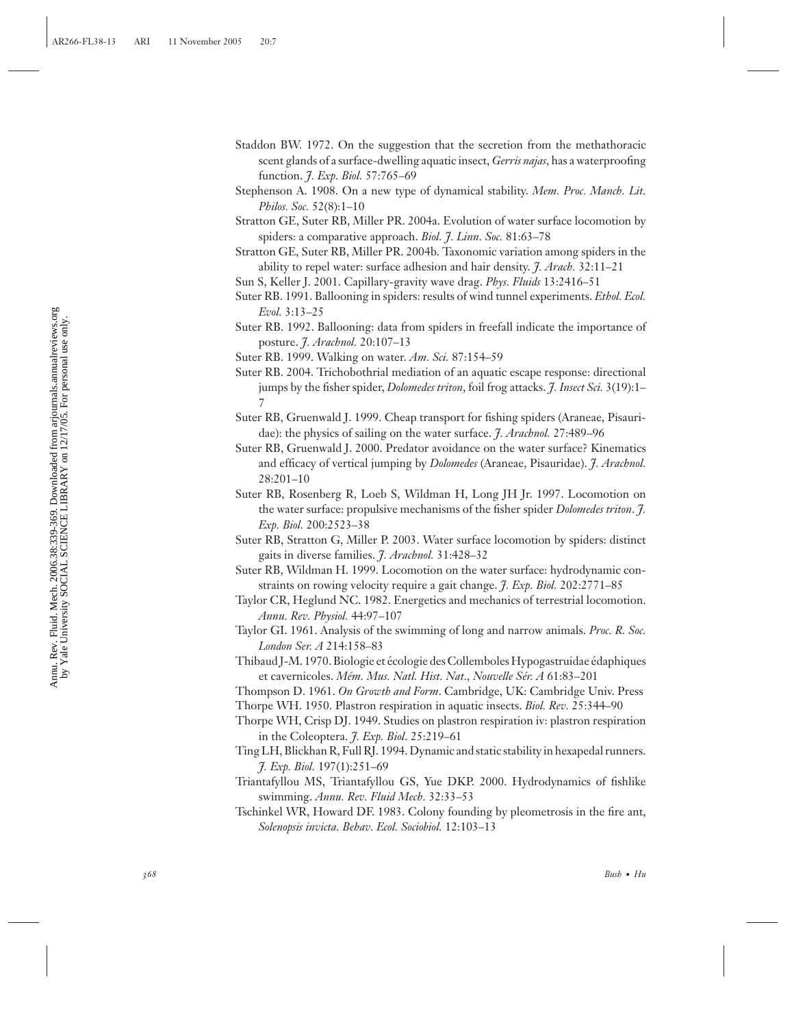- Staddon BW. 1972. On the suggestion that the secretion from the methathoracic scent glands of a surface-dwelling aquatic insect, *Gerris najas*, has a waterproofing function. *J. Exp. Biol.* 57:765–69
- Stephenson A. 1908. On a new type of dynamical stability. *Mem. Proc. Manch. Lit. Philos. Soc.* 52(8):1–10
- Stratton GE, Suter RB, Miller PR. 2004a. Evolution of water surface locomotion by spiders: a comparative approach. *Biol. J. Linn. Soc.* 81:63–78
- Stratton GE, Suter RB, Miller PR. 2004b. Taxonomic variation among spiders in the ability to repel water: surface adhesion and hair density. *J. Arach.* 32:11–21
- Sun S, Keller J. 2001. Capillary-gravity wave drag. *Phys. Fluids* 13:2416–51
- Suter RB. 1991. Ballooning in spiders: results of wind tunnel experiments. *Ethol. Ecol. Evol.* 3:13–25
- Suter RB. 1992. Ballooning: data from spiders in freefall indicate the importance of posture. *J. Arachnol.* 20:107–13
- Suter RB. 1999. Walking on water. *Am. Sci.* 87:154–59
- Suter RB. 2004. Trichobothrial mediation of an aquatic escape response: directional jumps by the fisher spider, *Dolomedes triton*, foil frog attacks. *J. Insect Sci.* 3(19):1– 7
- Suter RB, Gruenwald J. 1999. Cheap transport for fishing spiders (Araneae, Pisauridae): the physics of sailing on the water surface. *J. Arachnol.* 27:489–96
- Suter RB, Gruenwald J. 2000. Predator avoidance on the water surface? Kinematics and efficacy of vertical jumping by *Dolomedes* (Araneae, Pisauridae). *J. Arachnol.* 28:201–10
- Suter RB, Rosenberg R, Loeb S, Wildman H, Long JH Jr. 1997. Locomotion on the water surface: propulsive mechanisms of the fisher spider *Dolomedes triton*. *J. Exp. Biol.* 200:2523–38
- Suter RB, Stratton G, Miller P. 2003. Water surface locomotion by spiders: distinct gaits in diverse families. *J. Arachnol.* 31:428–32
- Suter RB, Wildman H. 1999. Locomotion on the water surface: hydrodynamic constraints on rowing velocity require a gait change. *J. Exp. Biol.* 202:2771–85
- Taylor CR, Heglund NC. 1982. Energetics and mechanics of terrestrial locomotion. *Annu. Rev. Physiol.* 44:97–107
- Taylor GI. 1961. Analysis of the swimming of long and narrow animals. *Proc. R. Soc. London Ser. A* 214:158–83
- Thibaud J-M. 1970. Biologie et écologie des Collemboles Hypogastruidae édaphiques et cavernicoles. *Mém. Mus. Natl. Hist. Nat., Nouvelle Sér. A* 61:83-201
- Thompson D. 1961. *On Growth and Form*. Cambridge, UK: Cambridge Univ. Press
- Thorpe WH. 1950. Plastron respiration in aquatic insects. *Biol. Rev.* 25:344–90
- Thorpe WH, Crisp DJ. 1949. Studies on plastron respiration iv: plastron respiration in the Coleoptera. *J. Exp. Biol*. 25:219–61
- Ting LH, Blickhan R, Full RJ. 1994. Dynamic and static stability in hexapedal runners. *J. Exp. Biol.* 197(1):251–69
- Triantafyllou MS, Triantafyllou GS, Yue DKP. 2000. Hydrodynamics of fishlike swimming. *Annu. Rev. Fluid Mech.* 32:33–53
- Tschinkel WR, Howard DF. 1983. Colony founding by pleometrosis in the fire ant, *Solenopsis invicta. Behav. Ecol. Sociobiol.* 12:103–13